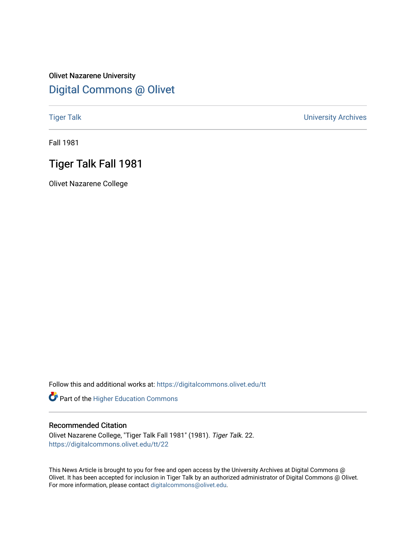### Olivet Nazarene University [Digital Commons @ Olivet](https://digitalcommons.olivet.edu/)

[Tiger Talk](https://digitalcommons.olivet.edu/tt) [University Archives](https://digitalcommons.olivet.edu/arch) 

Fall 1981

### Tiger Talk Fall 1981

Olivet Nazarene College

Follow this and additional works at: [https://digitalcommons.olivet.edu/tt](https://digitalcommons.olivet.edu/tt?utm_source=digitalcommons.olivet.edu%2Ftt%2F22&utm_medium=PDF&utm_campaign=PDFCoverPages) 

Part of the [Higher Education Commons](http://network.bepress.com/hgg/discipline/1245?utm_source=digitalcommons.olivet.edu%2Ftt%2F22&utm_medium=PDF&utm_campaign=PDFCoverPages) 

### Recommended Citation

Olivet Nazarene College, "Tiger Talk Fall 1981" (1981). Tiger Talk. 22. [https://digitalcommons.olivet.edu/tt/22](https://digitalcommons.olivet.edu/tt/22?utm_source=digitalcommons.olivet.edu%2Ftt%2F22&utm_medium=PDF&utm_campaign=PDFCoverPages)

This News Article is brought to you for free and open access by the University Archives at Digital Commons @ Olivet. It has been accepted for inclusion in Tiger Talk by an authorized administrator of Digital Commons @ Olivet. For more information, please contact [digitalcommons@olivet.edu](mailto:digitalcommons@olivet.edu).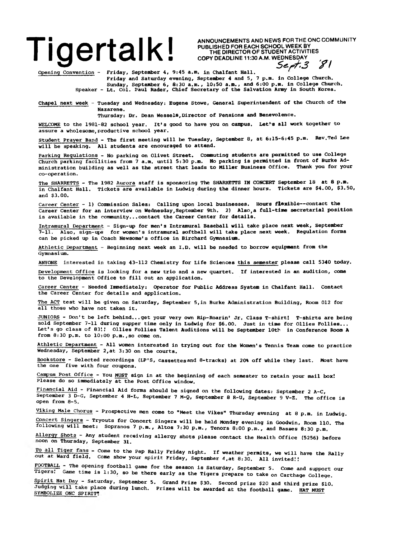### **Tigertal KI** ANNOUNCEMENTS AND NEWS FOR THE ONC COMMUNITY<br>
THE DIRECTOR OF STUDENT ACTIVITIES<br>
Sept. 3 81

PUBLISHED FOR EACH SCHOOL WEEK BY THE DIRECTOR OF STUDENT ACTIVITIES COPY DEADLINE 11:30 A.M. WEDNESDAY

*S e -rf-3 &* **/**

Opening Convention - Friday, September 4, 9:45 a.m. in Chalfant Hall.

Friday and Saturday evening, September 4 and 5, 7 p.m. in College Church. Sunday, September 6, 8s30 a.m., 10:50 a.m., and 6:00 p.m. in College Church. Speaker - Lt. Col. Paul Rader, Chief Secretary of the Salvation Army in South Korea.

Chapel next week - Tuesday and Wednesday: Eugene Stowe, General Superintendent of the Church of the Nazarene.

Thursday: Dr. Dean Wessels, Director of Pensions and Benevolence.

WELCOME to the 1981-82 school year. It's good to have you on campus. Leths all work together to assure a wholesome, productive school year.

Student Prayer Band - The first meeting will be Tuesday, September 8, at 6:15-6:45 p.m. Rev.Ted Lee will be speaking. All students are encouraged to attend.

Parking Regulations - No parking on Olivet Street. Commuting students are permitted to use College Church parking facilities from 7 a.m. until 5:30 p.m. No parking is permitted in front of Burke Administration building as well as the street that leads to Miller Business Office. Thank you for your co-operation.

The SHARRETTS - The 1982 Aurora staff is sponsoring The SHARRETTS IN CONCERT September 18 at 8 p.m. in Chalfant Hall. Tickets are available in Ludwig during the dinner hours. Tickets are \$4.00, \$3.50, and \$3.00.

Career Center - 1) Commission Sales: Calling upon local businesses. Hours flexible— contact the Career Center for an interview on Wednesday,September 9th. 2) Also,a full-time secretarial position is available in the community...contact the Career Center for details.

Intramural Department - Sign-up for men's Intramural Baseball will take place next week, September 7-11. Also, sign-ups for women's intramural softball will take place next week. Regulation forms can be picked up in Coach Newsome's office in Birchard Gymnasium.

Athletic Department - Beginning next week an I.D. will be needed to borrow equipment from the Gymnasium.

ANYONE interested in taking 43-112 Chemistry for Life Sciences this semester please call 5340 today.

Development Office is looking for a new trio and a new quartet. If interested in an audition, come to the Development Office to fill out an application.

Career Center - Needed Immediately: Operator for Public Address System in Chalfant Hall. Contact the Career Center for details and application.

The ACT test will be given on Saturday, September 5,in Burke Administration Building, Room 012 for all those who have not taken it.

JUNIORS - Don't be left behind...get your very own Rip-Roarin' Jr. Class T-shirt! T-shirts are being sold September 7-11 during supper time only in Ludwig for \$6.00. Just in time for Ollies Follies... Let's go class of 83!! Ollies Follies Talent Auditions will be September 10th in Conference Room A from 8:30 p.m. to 10:00 p.m.,so come on.

Athletic Department - All women interested in trying out for the Women's Tennis Team come to practice Wednesday, September 2,at 3:30 on the courts.

Bookstore - Selected recordings (LP'S, cassettes and 8-tracks) at 20% off while they last. Most have the one five with four coupons.

Campus Post Office - You MUST sign in at the beginning of each semester to retain your mail box! Please do so immediately at the Post Office window.

Financial Aid - Financial Aid forms should be signed on the following dates: September 2 A-C, September 3 D-G, September 4 H-L, September 7 M-Q, September 8 R-U, September 9 V-Z. The office is open from 8-5.

Viking Male chorus - Prospective men come to "Meet the Vikes" Thursday evening at 8 p.m. in Ludwig.

Concert Singers - Tryouts for Concert Singers will be held Monday evening in Goodwin, Room 110. The following will meet: Sopranos 7 p.m., Altos 7:30 p.m., Tenors 8:00 p.m., and Basses 8:30 p.m.

Allergy Shots - Any student receiving allergy shots please contact the Health Office (5256) before noon on Thursday, September 31.

To all Tiger fans - Come to the Pep Rally Friday night. If weather permits, we will have the Rally out at Ward field. Come show your spirit Friday, September *4* ,at 8:30. All invited!!

FOOTBALL - The opening football game for the season is Saturday, September 5. Come and support our Tigers. Game time is 1:30, so be there early as the Tigers prepare to take on Carthage College.

Spirit Hat Day - Saturday, September 5. Grand Prize \$30. Second prize \$20 and third prize \$10. Judging will take place during lunch. Prizes will be awarded at the football game. HAT MUST SYMBOLIZE ONC SPIRIT!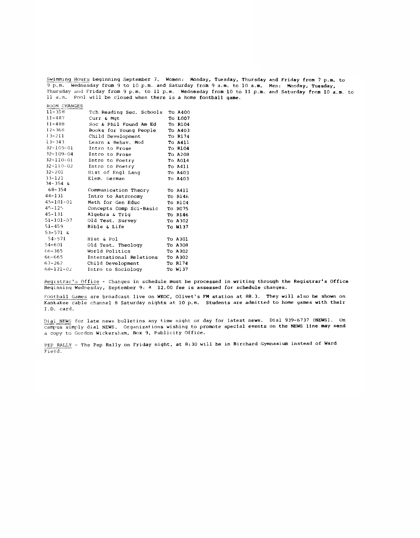Swimming Hours beginning September 7. Women: Monday, Tuesday, Thursday and Friday from 7 p.m. to 9 p.m. Wednesday from 9 to 10 p.m. and Saturday from 9 a.m. to 10 a.m. Men: Monday, Tuesday, Thursday and Friday from 9 p.m. to 11 p.m. Wednesday from 10 to 11 p.m. and Saturday from 10 a.m. to 11 a.m. Pool will be closed when there is a home football game.

| $11 - 358$      | Tch Reading Sec. Schools | To A400 |
|-----------------|--------------------------|---------|
| $11 - 487$      | Curr & Mgt               | To L007 |
| $11 - 488$      | Soc & Phil Found Am Ed   | To R104 |
| $12 - 368$      | Books for Young People   | To A403 |
| $13 - 211$      | Child Development        | To R174 |
| $13 - 343$      | Learn & Behav. Mod       | To A411 |
| 32-109-01       | Intro to Prose           | To R104 |
| $32 - 109 - 04$ | Intro to Prose           | To A208 |
| $32 - 110 - 01$ | Intro to Poetry          | To A014 |
| $32 - 110 - 02$ | Intro to Poetry          | To A411 |
| $32 - 201$      | Hist of Engl Lang        | To A403 |
| $33 - 121$      | Elem. German             | To A403 |
| $34 - 354$ &    |                          |         |
| 68–354          | Communication Theory     | To A411 |
| $44 - 131$      | Intro to Astronomy       | To R146 |
| $45 - 101 - 01$ | Math for Gen Educ        | To R104 |
| $45 - 125$      | Concepts Comp Sci-Basic  | To R075 |
| $45 - 131$      | Algebra & Trig           | To R146 |
| $51 - 101 - 07$ | Old Test. Survey         | To A302 |
| $51 - 459$      | Bible & Life             | To W137 |
| $53 - 571$ &    |                          |         |
| 54-571          | Hist & Pol               | To A301 |
| $54 - 601$      | Old Test. Theology       | To A308 |
| 66–365          | World Politics           | To A302 |
| 66-665          | International Relations  | To A302 |
| 67-262          | Child Development        | To R174 |
| $68 - 121 - 02$ | Intro to Sociology       | To W137 |
|                 |                          |         |

ROOM CHANGES

Registrar's Office - Changes in schedule must' be processed in writing through the Registrar's Office Beginning Wednesday, September 9» a \$2.00 fee is assessed for schedule changes.

Football Games are broadcast live on WKOC, Olivet's FM station at 88.3. They will also be shown on Kankakee cable channel 8 Saturday nights at 10 p.m. Students are admitted to home games with their I.D. card.

Dial NEWS for late news bulletins any time night or day for latest news. Dial 939-6737 (NEWS). On campus simply dial NEWS. Organizations wishing to promote special events on the NEWS line may send a copy to Gordon Wickersham, Box 9, Publicity Office.

PEP RALLY - The Pep Rally on Friday night, at 8:30 will be in Birchard Gymnasium instead of Ward Field.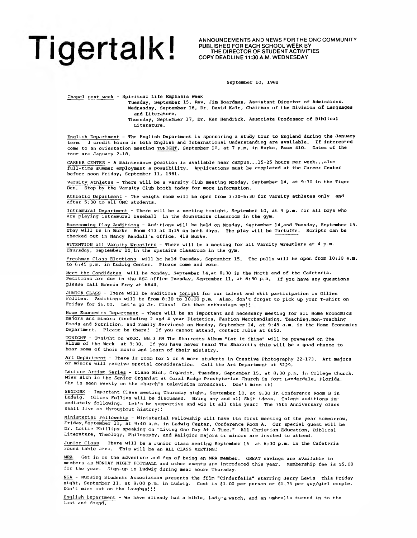### I I ∩ **A I T A I K** I <sup>PUBLISHED FOR EACH SCHOOL WEEK BY</sup> **I I V I COPY DEADLINE 11:30 A.M. WEDNESDAY**

ANNOUNCEMENTS AND NEWS FOR THE ONC COMMUNITY<br>PUBLISHED FOR EACH SCHOOL WEEK BY<br>THE DIRECTOR OF STUDENT ACTIVITIES

September 10, 1981

Chapel next week - Spiritual Life Emphasis Week

Tuesday, September 15, Rev. Jim Boardman, Assistant Director of Admissions. Wednesday, September 16, Dr. David Kale, Chairman of the Division of Languages and Literature.

Thursday, September 17, Dr. Ken Hendrick, Associate Professor of Biblical Literature.

English Department - The English Department is sponsoring a study tour to England during the January term. 3 credit hours in both English and International Understanding are available. If interested come to an orientation meeting TONIGHT, September 10, at 7 p.m. in Burke, Room 410. Dates of the tour are January 2-18.

CAREER CENTER - A maintenance position is available near campus... 15-25 hours per week...also full-time summer employment a possibility. Applications must be completed at the Career Center before noon Friday, September 11, 1981.

Varsity Athletes - There will be a Varsity Club meeting Monday, September 14, at 9:30 in the Tiger Den. Stop by the Varsity Club booth today for more information.

Athletic Department - The weight room will be open from 3:30-5:30 for Varsity athletes only and after 5:30 to all ONC students.

Intramural Department - There will be a meeting tonight, September 10, at 9 p.m. for all boys who are playing intramural baseball in the downstairs classroom in the gym.

Homecoming Play Auditions - Auditions will be held on Monday, September 14,and Tuesday, September 15. They will be in Burke Room 413 at 3:15 on both days. The play will be Tartuffe. Scripts can be checked out in Nancy Kendall's office, 418 Burke.

ATTENTION all Varsity Wrestlers - There will be a meeting for all Varsity Wrestlers at 4 p.m. Thursday, September 10,in the upstairs classroom in the gym.

Freshman Class Elections will be held Tuesday, September 15. The polls will be open from 10:30 a.m. to 6:45 p.m. in Ludwig Center. Please come and vote.

Meet the Candidates will be Monday, September 14,at 8:30 in the North end of the Cafeteria. Petitions are due in the ASG office Tuesday, September 11, at 6:30 p.m, if you have any questions please call Brenda Frey at 6844.

JUNIOR CLASS - There will be auditions tonight for our talent and skit participation in Ollies Follies. Auditions will be from 8:30 to 10:00 p.m. Also, don't forget to pick up your T-shirt on Friday for \$6.00. Let's go Jr. Class! Get that enthusiasm up!!

Home Economics Department - There will be an important and necessary meeting for all Home Economics majors and minors (including 2 and 4 year Dietetics, Fashion Merchandising, Teaching,Non-Teaching Foods and Nutrition, and Family Services) on Monday, September 14, at 9:45 a.m. in the Home Economics Department. Please be there! If you cannot attend, contact Julie at 6652.

TONIGHT - Tonight on WKOC, 88.3 FM The Sharretts Album "Let it Shine" will be premered on The Album of the Week at 9:30. If you have never heard The Sharretts this will be a good chance to hear some of their music and learn of their ministry.

Art Department - There is room for 5 or 6 more students in Creative Photography 22-173. Art majors or minors will receive special consideration. Call the Art Department at 5229.

Lecture Artist Series - Diane Bish, Organist, Tuesday, September 15, at 8:30 p.m. in College Church. Miss Bish is the Senior Organist at Coral Ridge Presbyterian Church in Fort Lauderdale, Florida. She is seen weekly on the church's television broadcast. Don't miss it!

SENIORS - Important Class meeting Thursday night, September 10, at 9:30 in Conference Room B in Ludwig. Ollies Follies will be discussed. Bring any and all Skit ideas. Talent auditions immediately following. Let's be supportive and win it all this year! The 75th Anniversary class shall live on throughout history!.'

Ministerial Fellowship - Ministerial Fellowship will have its first meeting of the year tommorrow, Friday, September 11, at 9:40 a.m. in Ludwig Center, Conference Room A. Our special guest will be Dr. Lottie Phillips speaking on "Living One Day At A Time." All Christian Education, Biblical Literature, Theology, Philosophy, and Religion majors or minors are invited to attend.

Junior Class - There will be a Junior class meeting September 16 at 8:30 p.m. in the Cafeteria round table area. This will be an ALL CLASS MEETING!

MRA - Get in on the adventure and fun of being an MRA member. GREAT savings are available to members as MONDAY NIGHT FOOTBALL and other events are introduced this year. Membership fee is \$5.00 for the year. Sign-up in Ludwig during meal hours Thursday.

NSA - Nursing Students Association presents the film "Cinderfella" starring Jerry Lewis this Friday night, September 11, at 9:00 p.m. in Ludwig. Cost is \$1.00 per person or \$1.75 per guy/girl couple. Don't miss out on the laughes! *!!*

English Department - We have already had a bible, lady's watch, and an umbrella turned in to the lost and found.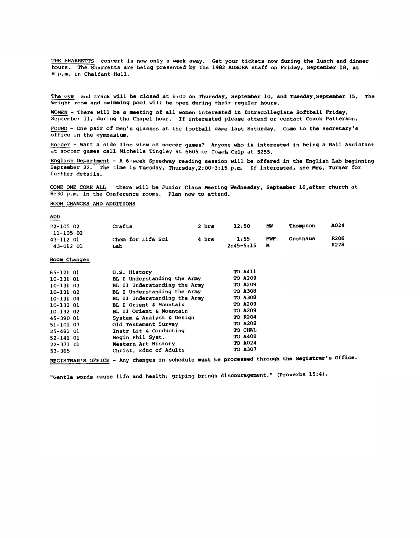THE SHARRETTS concert is now only a week away. Get your tickets now during the lunch and dinner hours. The Sharretts are being presented by the 1982 AURORA staff on Friday, September IB, at 8 p.m. in Chalfant Hall.

The Gym and track will be closed at 8:00 on Thursday, September 10, and Tuesday,September 15, The weight room and swimming pool will be open during their regular hours.

WOMEN - There will be a meeting of all women interested in Intracollegiate Softball Friday, September 11, during the Chapel hour. If interested please attend or contact Coach Patterson.

FOUND - One pair of men's glasses at the football game last Saturday. Come to the secretary's office in the gymnasium.

Soccer - Want a side line view of soccer games? Anyone who is interested in being a Ball Assistant at soccer games call Michelle Tingley at 6605 or Coach Culp at 5255.

English Department - A 6-week Speedway reading session will be offered in the English Lab beginning September 22. The time is Tuesday, Thursday, 2:00-3:15 p.m. If interested, see Mrs. Turner for further details.

COME ONE COME ALL there will be Junior Class Meeting Wednesday, September 16,after church at 8:30 p.m. in the Conference rooms. Plan now to attend.

### ROOM CHANGES AND ADDITIONS

ADD

| $22 - 10502$                        | Crafts                   | 2 hrs | 12:50                 | MW.      | <b>Thompson</b> | A024         |
|-------------------------------------|--------------------------|-------|-----------------------|----------|-----------------|--------------|
| 11-105 02<br>43-112 01<br>43-012 01 | Chem for Life Sci<br>Lab | 4 hrs | 1:55<br>$2:45 - 5:15$ | MWF<br>м | Grothaus        | R206<br>R228 |

### Room Changes

| 65-121 01     | U.S. History                 | TO A411        |  |
|---------------|------------------------------|----------------|--|
| 10-131 01     | BL I Understanding the Army  | TO A209        |  |
| $10 - 13103$  | BL II Understanding the Army | TO A209        |  |
| $10-131$ 02   | BL I Understanding the Army  | TO A308        |  |
| $10 - 13104$  | BL II Understanding the Army | TO A308        |  |
| $10 - 13201$  | BL I Orient & Mountain       | TO A209        |  |
| $10 - 13202$  | BL II Orient & Mountain      | TO A209        |  |
| 45-390 01     | System & Analyst & Design    | <b>TO R204</b> |  |
| 51-101 07     | Old Testament Survey         | <b>TO A208</b> |  |
| 25-481 01     | Instr Lit & Conducting       | TO CHAL        |  |
| 52-141 01     | Begin Phil Syst.             | TO A408        |  |
| $22 - 371$ 01 | Western Art History          | <b>TO A024</b> |  |
| $53 - 365$    | Christ, Educ of Adults       | <b>TO A307</b> |  |
|               |                              |                |  |

REGISTRAR'S OFFICE - Any changes in schedule must be processed through the Registrar's Office.

"Gentle words cause life and health; griping brings discouragement," (Proverbs 15:4).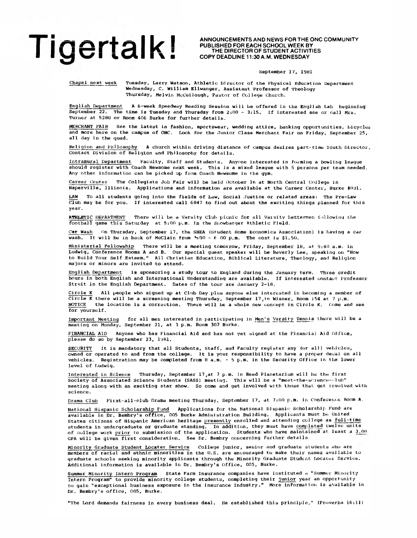### ■ ■ I % I | X ■ COPY DEADLINE 11:30A.M. WEDNESDAY

2 \_\_\_ I — I I \_ I ANNOUNCEMENTS AND NEWS FORTHEONC COMMUNITY I I *r \* I T T I *U* I PUBLISHED FOR EACH SCHOOL WEEK BY ■ 1 1 1 I I I V V ■ THE DIRECTOR OF STUDENT ACTIVITIES

### September 17, 19B1

Chapel next week Tuesday, Larry Watson, Athletic Director of the Physical Education Department Wednesday, C. William Ellwanger, Assistant Professor of Theology Thursday, Melvin McCullough, Pastor of College Church.

English Department A 6-week Speedway Reading Session will be offered in the English Lab beginning September 22. The time is Tuesday and Thursday from 2:00 - 3:15. If interested see or call Mrs. Turner at 5280 or Room 406 Burke for further details.

MERCHANT FAIR See the latest in fashion, sportswear, wedding attire, banking opportunities, bicycler and more here on the campus of ONC. Look for the Junior Class Merchant Fair on Friday, September 25, all day in the quad.

Religion and Philosophy A church within driving distance of campus desires part-time Youth Director Contact Division of Religion and Philosophy for details.

Intramural Department Faculty, Staff and Students. Anyone interested in forming a bowling league should register with Coach Newsome next week. This Is a mixed league with 5 persons per team needed. Any other information can be picked up from Coach Newsome in the gym.

Career Center The Collegiate Job Fair will be held October 16 at North Central College in Naperville, Illinois. Applications and information are available at the Career Center, Burke #021.

LAW To all students going into the fields of Law, Social Justice or related areas: The Pre-Law Club may be for you. If interested call 6847 to find out about the exciting things planned for this year.

ATHLETIC DEPARTMENT There will be a Varsity Club picnic for all Varsity Lettermen following the football game this Saturday at 5:00 p.m. in the Si.owbarqer Athletic Field.

Car Wash On Thursday, September 17, the SHEA (Student Home Economics Association) is having a car wash. It will be in back of McClain from  $A_1 Q0 - 6$  00 p.m. The cost is \$1.50.

Ministerial Fellowship There will be a meeting tomorrow, Friday, September 18, at 9:40 a.m. in Ludwig, Conference Rooms A and B. Our special guest speaker will be Beverly Lee, speaking on "How to Build Your Self Esteem." All Christian Education, Biblical Literature, Theology, and Religion majors or minors are invited to attend.

English Department is sponsoring a study tour to England during the January term. Three credit hours in both English and International Understanding are available. If interested contact. Professor Streit in the English Department. Dates of the tour are January 2-18.

Circle K All people who signed up at Club Day plus anyone else interested in becoming a member of Circle K there will be a screening meeting Thursday, September 17,in Wisner, Room 154 at 7 p.m. NOTICE the location is a correction. There will be a whole new concept in Circle K. Come and see for yourself.

Important Meeting for all men interested in participating in Men's Varsity Tennis there will be a meeting on Monday, September 21, at 3 p.m. Room 307 Burke.

FINANCIAL AID Anyone who has Financial Aid and has not yet signed at the Financial Aid Office, please do so by September 23, 1981.

SECURITY It is mandatory that all Students, Staff, and Faculty register any (or all) vehicles, owned or operated to and from the college. It is your responsibility to have a proper decal, on all vehicles. Registration may be completed from 8 a.m. - b p.m. in the Security Office in the lower level of Ludwig.

Interested in Science Thursday, September 17,at 7 p.m. in Reed Planetarium will be the first Society of Associated Science Students (SASS) meeting. This will be a "meet-the-science-club" meeting along with an exciting star show. So come and get involved with those that get involved with science.

Drama Club First-all-c.lub Drama meeting Thursday, September 17, at 7:00 p.m. in Conference Room A.

National Hispanic Scholarship Fund Applications for the National Hispanic: Scholarship Fund are available in Dr. Bembry's office, 005 Burke Administration Building. Applicants must be United States citizens of Hispanic American heritage presently enrolled and attending college as full-time students in undergraduate or graduate standing. In addition, they must have completed twelve units of college work prior to submission of the application. Students who have maintained at least a  $3.00\,$ GPA will be given first consideration. See Dr. Bembry concerning further details.

Minority Graduate Student Locater Service College junior, senior and graduate students who are members of racial and ethnic minorities in the U.S. are encouraged to make their names available to graduate schools seeking minority applicants through the Minority Graduate Student Locater Service. Additional information is available in Dr. Bembry's Office, 005, Burke.

Summer Minority Intern Program State Farm Insurance companies have instituted a "Summer Minority Intern Program" to provide minority college students, completing their junior year an opportunity to gain "exceptional business exposure in the insurance industry." More information is available in Dr. Bembry's office, 005, Burke.

"The Lord demands fairness in every business deal. He established this principle," (Proverbs 16:11)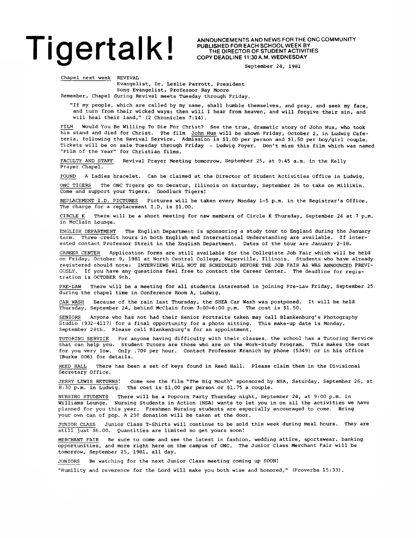### Tige best and new FOR THE ONC COMMUNITY

PUBLISHED FOR EACH SCHOOL WEEK BY THE DIRECTOR OF STUDENT ACTIVITIES COPY DEADLINE 11:30 A.M. WEDNESDAY

September 24, 1981

Chapel next week REVIVAL

Evangelist, Dr. Leslie Parrott, President

Song Evangelist, Professor Ray Moore

Remember, Chapel during Revival meets Tuesday through Friday.

"If my people, which are called by my name, shall humble themselves, and pray, and seek my face, and turn from their wicked ways; then will I hear from heaven, and will forgive their sin, and will heal their land," (2 Chronicles 7:14).

FILM Would You Be Willing To Die For Christ? See the true, dramatic story of John Hus, who took his stand and died for Christ. The film John Hus will be shown Friday, October 2, in Ludwig Cafeteria, following the Revival Service. Admission is \$1.00 per person and \$1.50 per boy/girl couple. Tickets will be on sale Tuesday through Friday - Ludwig Foyer. Don't miss this film which was named "Film of the Year" for Christian films.

FACULTY AND STAFF Revival Prayer Meeting tomorrow, September 25, at 9:45 a.m. in the Kelly Prayer Chapel.

FOUND A ladies bracelet. Can be claimed at the Director of Student Activities Office in Ludwig.

ONC TIGERS The ONC Tigers go to Decatur, Illinois on Saturday, September 26 to take on Millikin. Come and support your Tigers. Goodluck Tigers!

REPLACEMENT I.D. PICTURES Pictures will be taken every Monday 1-5 p.m. in the Registrar's Office. The charge for a replacement I.D. is \$1.00.

CIRCLE K There will be a short meeting for new members of Circle K Thursday, September 24 at 7 p.m. in McClain Lounge.

ENGLISH DEPARTMENT The English Department is sponsoring a study tour to England during the January term. Three credit hours in both English and International Understanding are available. If interested contact Professor Streit in the English Department. Dates of the tour are January 2-18.

CAREER CENTER Application forms are still available for the Collegiate Job Fair which will be held on Friday, October 9, 1981 at North Central College, Naperville, Illinois. Students who have already registered should note: INTERVIEWS WILL NOT BE SCHEDULED BEFORE THE JOB FAIR AS WAS ANNOUNCED PREVI-OUSLY. If you have any questions feel free to contact the Career Center. The deadline for registration is OCTOBER 9th.

PRE-LAW There will be a meeting for all students interested in joining Pre-Law Friday, September 25. during the chapel time in Conference Room A, Ludwig.

CAR WASH Because of the rain last Thursday, the SHEA Car Wash was postponed. It will be held Thursday, September 24, behind McClain from 3:00-6:00 p.m. The cost is \$1.50.

SENIORS Anyone who has not had their Senior Portraits taken may call Blankenburg's Photography Studio (932-4117) for a final opportunity for a photo sitting. This make-up date is Monday, September 28th. Please call Blankenburg's for an appointment.

TUTORING SERVICE For anyone having difficulty with their classes, the school has a Tutoring Service that can help you. Student Tutors are those who are on the Work-Study Program. This makes the cost for you very low. Only .70\$ per hour. Contact Professor Kranich by phone (5349) or in his office (Burke 006) for details.

REED HALL There has been a set of keys found in Reed Hall. Please claim them in the Divisional Secretary Office.

JERRY LEWIS RETURNS! Come see the film "The Big Mouth" sponsored by NSA, Saturday, September 26, at 8:30 p.m. in Ludwig. The cost is \$1.00 per person or \$1.75 a couple.

NURSING STUDENTS There will be a Popcorn Party Thursday night, September 24, at 9:00 p.m. in Williams Lounge. Nursing Students in Action (NSA) wants to let you in on all the activities we have planned for you this year. Freshmen Nursing students are especially encouraged to come. Bring your own can of pop. A 25¢ donation will be taken at the door.

JUNIOR CLASS Junior Class T-Shirts will continue to be sold this week during meal hours. They are still just \$6.00. Quantities are limited so get yours soon!

MERCHANT FAIR Be sure to come and see the latest in fashion, wedding attire, sportswear, banking opportunities, and more right here on the campus of ONC. The Junior Class Merchant Fair will be tomorrow, September 25, 1981, all day.

JUNIORS Be watching for the next Junior Class meeting coming up SOON!

"Humility and reverence for the Lord will make you both wise and honored," (Proverbs 15:33).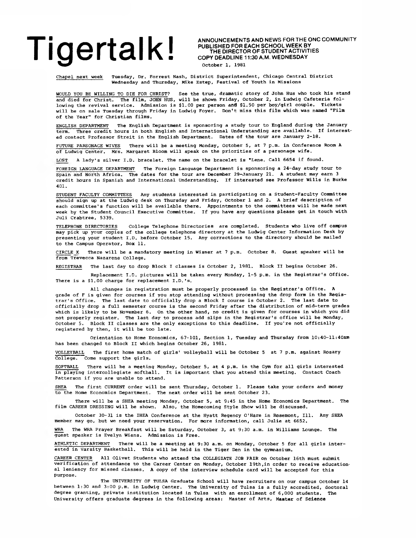**PUBLISHED FOR EACH SCHOOL WEEK BY THE DIRECTOR OF STUDENT ACTIVITIES COPY DEADLINE 11:30 A.M. WEDNESDAY October 1, 1981**

**Chapel next week Tuesday, Dr. Forrest Nash, District Superintendent, Chicago Central District Wednesday and Thursday, Mike Estep, Festival of Youth in Missions**

**WOULD YOU BE WILLING TO DIE FOR CHRIST? See the true, dramatic story of John Hus who took his stand and died for Christ. The film, JOHN HUS, will be shown Friday, October 2, in Ludwig Cafeteria following the revival service. Admission is \$1.00 per person and \$1.50 per boy/girl couple. Tickets will be on sale Tuesday through Friday in Ludwig Foyer. Don't miss this film which was named "Film of the Year" for Christian films.**

**ENGLISH DEPARTMENT The English Department is sponsoring a study tour to England during the January term. Three credit hours in both English and International Understanding are available. If interested contact Professor Streit in the English Department. Dates of the tour are January 2-18.**

**FUTURE PARSONAGE WIVES There will be a meeting Monday, October 5, at 7 p.m. in Conference Room A of Ludwig Center. Mrs. Margaret Bloom will speak on the priorities of a parsonage wife.**

LOST A lady's silver I.D. bracelet. The name on the bracelet is "Lene. Call 6654 if found.

**FOREIGN LANGUAGE DEPARTMENT The Foreign Language Department is sponsoring a 24-day study tour to Spain and North Africa. The dates for the tour are December 29-January 21. A student may earn 3 credit hours in Spanish and International Understanding. If interested see Professor Wills in Burke 401.**

**STUDENT FACULTY COMMITTEES Any students interested in participating on a Student-Faculty Committee should sign up at the Ludwig desk on Thursday and Friday, October 1 and 2. A brief description of each committee's function will be available there. Appointments to the committees will be made next week by the Student Council Executive Committee. If you have any questions please get in touch with Juli Crabtree, 5339.**

**TELEPHONE DIRECTORIES College Telephone Directories are completed. Students who live off campus may pick up your copies of the college telephone directory at the Ludwig Center Information Desk by presenting your student I.D. before October 15. Any corrections to the directory should be mailed to the Campus Operator, Box 11.**

**CIRCLE K There will be a mandatory meeting in Wisner at 7 p.m. October 8. Guest speaker will be from Trevecca Nazarene College.**

**REGISTRAR The last day to drop Block I classes is October 2, 1981. Block II begins October 26.**

**Replacement I.D. pictures will be taken every Monday, 1-5 p.m. in the Registrar's Office. There is a \$1.00 charge for replacement I.D.'s.**

**All changes in registration must be properly processed in the Registrar's Office. A grade of F is given for courses if you stop attending without processing the drop form in the Registrar's Office. The last date to officially drop a Block I course is October 2. The last date to officially drop a full semester course is the second Friday after the distribution of mid-term grades which is likely to be November 6. On the other hand, no credit is given for courses in which you did not properly register. The last day to process add slips in the Registrar's office will be Monday, October 5. Block II classes are the only exceptions to this deadline. If you're not officially registered by then, it will be too late.**

**Orientation to Home Economics, 67-101, Section 1, Tuesday and Thursday from 10:40-11:40am has been changed to Block II which begins October 26, 1981.**

**VOLLEYBALL The first home match of girls' volleyball will be October 5 at 7 p.m. against Rosary College. Come support the girls.**

**SOFTBALL There will be a meeting Monday, October 5, at 4 p.m. in the Gym for all girls interested in playing intercollegiate softball. It is important that you attend this meeting. Contact Coach Patterson if you are unable to attend.**

**SHEA The first CURRENT order will be sent Thursday, October 1. Please take your orders and money to the Home Economics Department. The next order will be sent October 23.**

**There will be a SHEA meeting Monday, October 5, at 9:45 in the Home Economics Department. The film CAREER DRESSING will be shown. Also, the Homecoming Style Show will be discussed.**

**October 30-31 is the IHEA Conference at the Hyatt Regency O'Hare in Rosemont, 111. Any SHEA member may go, but we need your reservation. For more information, call Julie at 6652.**

**WRA The WRA Prayer Breakfast will be Saturday, October 3, at 9:30 a.m. in Williams Lounge. The guest speaker is Evelyn Wiens. Admission is Free.**

**ATHLETIC DEPARTMENT There will be a meeting at 9:30 a.m. on Monday, October 5 for all girls interested in Varsity Basketball. This will be held in the Tiger Den in the gymnasium.**

**CAREER CENTER All Olivet Students who attend the COLLEGIATE JOB FAIR on October 16th must submit verification of attendance to the Career Center on Monday, October 19th,in order to receive educational leniency for missed classes. A copy of the interview schedule card will be accepted for this purpose.**

**The UNIVERSITY OF TULSA Graduate School will have recruiters on our campus October 14 between 1:30 and 3:00 p.m. in Ludwig Center. The University of Tulsa is a fully accredited, doctoral degree granting, private institution located in Tulsa with an enrollment of 6,000 students. The University offers graduate degrees in the following areas: Master of Arts, Master of Science**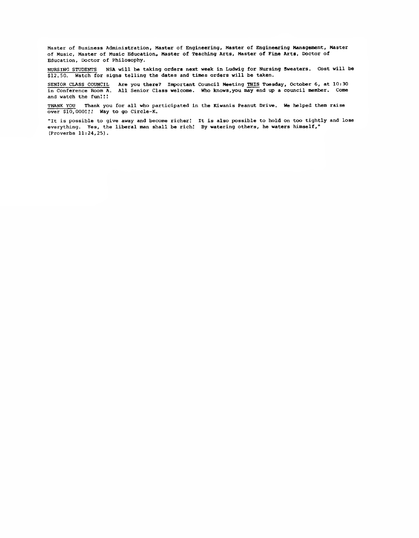**Master of Business Administration, Master of Engineering, Master of Engineering Management, Master of Music, Master of Music Education, Master of Teaching Arts, Master of Fine Arts, Doctor of Education, Doctor of Philosophy.**

**NURSING STUDENTS NSA will be taking orders next week in Ludwig for Nursing Sweaters. Cost will be \$12.50. Watch for signs telling the dates and times orders will be taken.**

**SENIOR CLASS COUNCIL Are you there? Important Council Meeting THIS Tuesday, October 6, at 10:30 in Conference Room A. All Senior Class welcome. Who knows,you may end up a council member. Come** and watch the fun!!!

**THANK YOU Thank you for all who participated in the Kiwanis Peanut Drive. We helped them raise over \$10, 0001.' Way to go Circle-K.**

**"It is possible to give away and become richer! It is also possible to hold on too tightly and lose everything. Yes, the liberal man shall be rich! By watering others, he waters himself," (Proverbs 11:24,25).**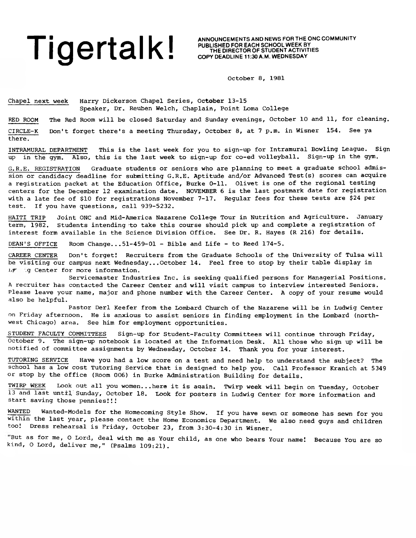# Tige reach school week by announcements and news for the onc community PUBLISHED FOR EACH SCHOOL WEEK BY **AND WELL AND WELL AND A WELL AND A WELL AND A WELL AND A WELL AND A WELL AND A WELL AND A WELL AND A WELL AND A WELL**

there.

**PUBLISHED FOR EACH SCHOOL WEEK BY THE DIRECTOR OF STUDENT ACTIVITIES COPY DEADLINE 11:30 A.M. WEDNESDAY**

October 8, 1981

Chapel next week Harry Dickerson Chapel Series, October 13-15 Speaker, Dr. Reuben Welch, Chaplain, Point Loma College

RED ROOM The Red Room will be closed Saturday and Sunday evenings, October 10 and 11, for cleaning. CIRCLE-K Don't forget there's a meeting Thursday, October 8, at 7 p.m. in Wisner 154. See ya

INTRAMURAL DEPARTMENT This is the last week for you to sign-up for Intramural Bowling League. Sign up in the gym. Also, this is the last week to sign-up for co-ed volleyball. Sign-up in the gym.

G.R.E. REGISTRATION Graduate students or seniors who are planning to meet a graduate school admission or candidacy deadline for submitting G.R.E. Aptitude and/or Advanced Test(s) scores can acquire a registration packet at the Education Office, Burke 0-11. Olivet is one of the regional testing centers for the December 12 examination date. NOVEMBER 6 is the last postmark date for registration with a late fee of \$10 for registrations November 7-17. Regular fees for these tests are \$24 per test. If you have questions, call 939-5232.

HAITI TRIP Joint ONC and Mid-America Nazarene College Tour in Nutrition and Agriculture. January term, 1982. Students intending to take this course should pick up and complete a registration of interest form available in the Science Division Office. See Dr. R. Hayes (R 216) for details.

DEAN'S OFFICE Room Change...51-459-01 - Bible and Life - to Reed 174-5.

CAREER CENTER Don't forget! Recruiters from the Graduate Schools of the University of Tulsa will be visiting our campus next Wednesday...October 14. Feel free to stop by their table display in  $L$  **j** .g Center for more information.

Servicemaster Industries Inc. is seeking qualified persons for Managerial Positions. A recruiter has contacted the Career Center and will visit campus to interview interested Seniors. Please leave your name, major and phone number with the Career Center. A copy of your resume would also be helpful.

Pastor Deri Keefer from the Lombard Church of the Nazarene will be in Ludwig Center on Friday afternoon. He is anxious to assist seniors in finding employment in the Lombard (northwest Chicago) area. See him for employment opportunities.

STUDENT FACULTY COMMITTEES Sign-up for Student-Faculty Committees will continue through Friday, October 9. The sign-up notebook is located at the Information Desk. All those who sign up will be notified of committee assignments by Wednesday, October 14. Thank you for your interest.

TUTORING SERVICE Have you had a low score on a test and need help to understand the subject? The school has a low cost Tutoring Service that is designed to help you. Call Professor Kranich at 5349 or stop by the office (Room 006) in Burke Administration Building for details.

**TWIRP** WEEK Look out all you women...here it is aqain. Twirp week will begin on Tuesday, October 13 and last until Sunday, October 18. Look for posters in Ludwig Center for more information and start saving those pennies!!!

WANTED Wanted—Models for the Homecoming Style Show. If you have sewn or someone has sewn for you within the last year, please contact the Home Economics Department. We also need guys and children tool Dress rehearsal is Friday, October 23, from 3:30-4:30 in Wisner.

But as for me, O Lord, deal with me as Your child, as one who bears Your name! Because You are so kind, O Lord, deliver me," (Psalms 109:21).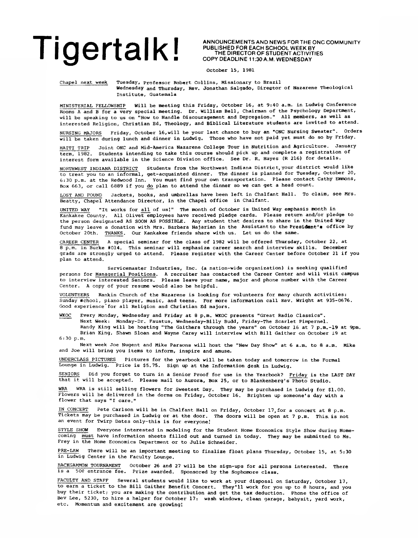**ANNOUNCEMENTS AND NEWS FOR THE ONC COMMUNITY PUBLISHED FOR EACH SCHOOL WEEK BY THE DIRECTOR OF STUDENT ACTIVITIES COPY DEADLINE 11:30 A.M. WEDNESDAY**

**October 15, 1981**

**Chapel next week Tuesday, professor Robert Collins, Missionary to Brazil Wednesday and Thursday, Rev. Jonathan Salgado, Director of Nazarene Theological Institute, Guatemala**

**MINISTERIAL FELLOWSHIP Will be meeting this Friday, October 16, at 9:40 a.m. in Ludwig Conference Rooms A and B for a very special meeting. Dr. William Bell, Chairman of the Psychology Department, will be speaking to us on "How to Handle Discouragement and Depression." All members, as well as interested Religion, Christian Ed, Theology, and Biblical Literature students are invited to attend.**

**NURSING MAJORS Friday, October 16,will be your last chance to buy an "ONC Nursing Sweater". Orders will be taken during lunch and dinner in Ludwig. Those who have not paid yet must do so by Friday.**

**HAITI TRIP Joint ONC and Mid-America Nazarene College Tour in Nutrition and Agriculture. January term, 1982. Students intending to take this course should pick up and complete a registration of interest form available in the Science Division office. See Dr. R. Hayes (R 216) for details.**

**NORTHWEST INDIANA DISTRICT Students from the Northwest Indiana District, your district would like to treat you to an informal, get-acquainted dinner. The dinner is planned for Tuesday, October 20, 6:30 p.m. at the Redwood Inn. You must find your own transportation. Please contact Cathy Emmons, Box 663, or call 6889 if you do plan to attend the dinner so we can get a head count.**

**LOST AND FOUND Jackets, books, and umbrellas have been left in Chalfant Hall. To claim, see Mrs. Beatty, Chapel Attendance Director, in the Chapel office in Chalfant.**

**UNITED WAY "It works for all of us!" The month of October is United Way emphasis month in Kankakee County. All Olivet employees have received pledge cards. Please return and/or pledge to the person designated AS SOON AS POSSIBLE. Any student that desires to share in the United Way** fund may leave a donation with Mrs. Barbara Najarian in the Assistant to the President's office by October 20th. THANKS. Our Kankakee friends share with us. Let us do the same.

**CAREER CENTER A special seminar for the class of 1982 will be offered Thursday, October 22, at 8 p.m. in Burke #014. This seminar will emphasize career search and interview skills. December grads are strongly urged to attend. Please register with the Career Center before October 21 if you plan to attend.**

**Servicemaster Industries, Inc. (a nation-wide organization) is seeking qualified persons for Managerial Positions. A recruiter has contacted the Career Center and will visit campus to interview interested Seniors. Please leave your name, major and phone number with the Career Center. A copy of your resume would also be helpful.**

**VOLUNTEERS Rankin Church of the Nazarene is looking for volunteers for many church activities: Sunday school, piano player, music, and teens. For more information call Rev. Wright at 935-0676. Good experience'for all Religion and Christian Ed majors.**

**WKOC Every Monday, Wednesday and Friday at 8 p.m. WKOC presents "Great Radio Classics". Next Week: Monday-Dr. Faustus, Wednesday-Bllly Budd, Friday-The Scarlet Pimpernel. Randy King will be hosting "The Gaithers through the years" on October 16 at 7 p.m.-19 at 9pm. Brian King, Shawn Sloan and Wayne Carey will interview with Bill Gaither on October 19 at 6:30p.m.**

**Next week Joe Nugent and Mike Parsons will host the "New Day Show" at 6 a.m. to 8 a.m. Mike and Joe will bring you items to inform, inspire and amuse.**

**UNDERCLASS PICTURES Pictures for the yearbook will be taken today and tomorrow in the Formal Lounge in Ludwig. Price is \$5.75. Sign up at the Information desk in Ludwig.**

**SENIORS Did you forget to turn in a Senior Proof for use in the Yearbook? Friday is the LAST DAY that it will be accepted. Please mail to Aurora, Box 25, or to Blankenberg's Photo Studio.**

**WRA WRA is still selling flowers for Sweetest Day. They may be purchased in Ludwig for \$1.00. Flowers will be delivered in the dorms on Friday, October 16. Brighten up someone's day with a flower that says "I care."**

**IN CONCERT Pete Carlson will be in Chalfant Hall on Friday, October 17,for a concert at 8 p.m. Tickets may be purchased in Ludwig or at the door. The doors will be open at 7 p.m. This, is not an event for Twirp Dates only-this is for everyone!**

**STYLE SHOW Everyone interested in modeling for the Student Home Economics Style Show during Homecoming must have information sheets filled out and turned in today. They may be submitted to Ms. Frey in the Home Economics Department or to Julie Schneider.**

**PRE-LAW There will be an important meeting to finalize float plans Thursday, October 15, at 5:30 in Ludwig Center in the Faculty Lounge.**

**BACKGAMMON TOURNAMENT October 26 and 27 will be the sign-ups for all persons interested. There** is a 50¢ entrance fee. Prize awarded. Sponsored by the Sophomore class.

**FACULTY AND STAFF Several students would like to work at your disposal on Saturday, October 17, to earn a ticket to the Bill Gaither Benefit Concert. They'll work for you up to 8 hours, and you buy their ticket; you are making the contribution and get the tax deduction. Phone the office of Bev Lee, 5230, to hire a helper for October 17: wash windows, clean garage, babysit, yard work, etc. Momentum and excitement are growing!**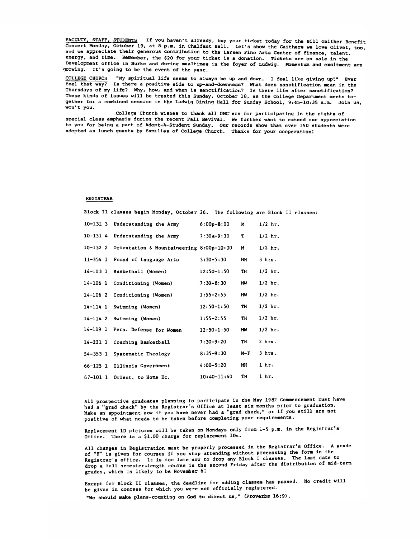**FACULTY, STAFF, STUDENTS If you haven't already, buy your ticket today for the Bill Gaither Benefit Concert Monday, October 19, at 8 p.m. in Chalfant Hall. Let's show the Gaithers we love Olivet, too, and we appreciate their generous contribution to the Larsen Fine Arts Center of finance, talent, energy, and time. Remember, the \$20 for your ticket is a donation. Tickets are on sale in the Development office in Burke and during mealtimes in the foyer of Ludwig. Momentum and excitment are growing. It's going to be the event of the year.**

**COLLEGE CHURCH "My spiritual life seems to always be up and down. I feel like giving up'." Ever feel that way? Is there a positive side to up-and-downness? What does sanctification mean in the Thursdays of my life? Why, how, and when is sanctification? Is there life after sanctification? These kinds of issues will be treated this Sunday, October 18, as the College Department meets together for a combined session in the Ludwig Dining Hall for Sunday School, 9:45-10:35 a.m. Join us, w o n 't you.**

**College Church wishes to thank all ONC'ers for participating in the nights of special class emphasis during the recent Fall Revival. We further want to extend our appreciation to you for being a part of Adopt-A-Student Sunday. Our records show that over 150 students were adopted as lunch guests by families of College Church. Thanks for your cooperation!**

### **REGISTRAR**

**Block II classes begin Monday, October 26. The following are Block II classes:**

|              | 10-131 3 Understanding the Army          | $6:00p-8:00$    | N   | $1/2$ hr. |
|--------------|------------------------------------------|-----------------|-----|-----------|
|              | 10-131 4 Understanding the Army          | $7:30a-9:30$    | T   | $1/2$ hr. |
| 10-132 2     | Orientation & Mountaineering 8:00p-10:00 |                 | N   | $1/2$ hr. |
| $11 - 354$ 1 | Found of Language Arts                   | $3:30 - 5:30$   | МH  | 3 hrs.    |
|              | 14-103 1 Basketball (Women)              | $12:50 - 1:50$  | TH  | $1/2$ hr. |
| 14-106 1     | Conditioning (Women)                     | $7:30 - 8:30$   | МW  | $1/2$ hr. |
| 14-106 2     | Conditioning (Women)                     | $1:55 - 2:55$   | МW  | $1/2$ hr. |
|              | 14-114 1 Swimming (Women)                | $12:50 - 1:50$  | TH  | $1/2$ hr. |
|              | $14-114$ 2 Swimming (Women)              | $1:55 - 2:55$   | TH  | $1/2$ hr. |
|              | 14-119 1 Pers. Defense for Women         | $12:50 - 1:50$  | MW  | $1/2$ hr. |
|              | 14-221 1 Coaching Basketball             | 7:30-9:20       | TH  | $2$ hrs.  |
| 54-353 1     | Systematic Theology                      | $8:35 - 9:30$   | M-F | 3 hrs.    |
| $66 - 125$ 1 | Illinois Government                      | $4:00 - 5:20$   | МH  | 1 hr.     |
| 67-101 1     | Orient. to Home Ec.                      | $10:40 - 11:40$ | TH  | l hr.     |

**All prospective graduates planning to participate in the May 1982 Commencement must have had a "grad check" by the Registrar's Office at least six months prior to graduation. Make an appointment now if you have never had a "grad check," or if you still are not positive of what needs to be taken before completing your requirements.**

**Replacement ID pictures will be taken on Mondays only from 1-5 p.m. in the Registrar s Office. There is a \$1.00 charge for replacement IDs.**

**All changes in Registration must be properly processed in the Registrar's Office. A grade of "F" is given for courses if you stop attending without processing the form in the Registrar's office. It is too late now to drop any Block I classes. The last date to drop a full semester-length course is the second Friday after the distribution of mid-term** grades, which is likely to be November 6!

**Except for Block II classes, the deadline for adding classes has passed. No credit will be given in courses for which you were not officially registered. "We should make plans-counting on God to direct us," (Proverbs 16:9).**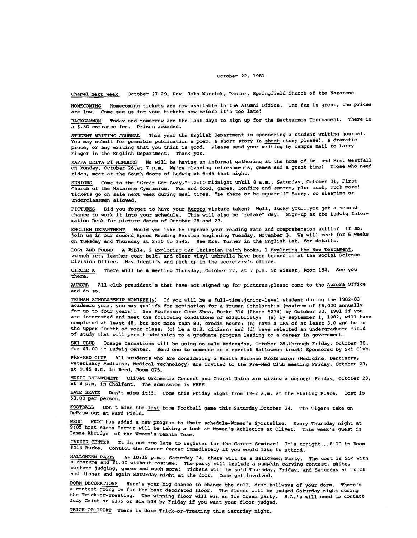### **October 22, 1981**

Chapel Next Week October **27-29,** Rev. John Warrick, Pastor, Springfield Church of the Nazarene

HOMECOMING Homecoming tickets are now available in the Alumni Office. The fun is great, the prices are **low.** Come see us for your tickets now before it's too late'.

**BACKGAMMON Today and tomorrow are the last days to sign up for the Backgammon Tournament. There is a \$.50 entrance fee. Prizes awarded.**

**STUDENT WRITING JOURNAL This year the English Department is sponsoring a student writing journal. You may submit for possible publication a poem, a short story (a short story please), a dramatic piece, or any writing that you think is good. Please send your writing by campus mail to Larry Finger in the English Department. Thank you.**

**KAPPA DELTA PI MEMBERS We will be having an informal gathering at the home of Dr. and Mrs. Westfall on Monday, October 26,at 7 p.m. We're planning refreshments, games and a great time! Those who need rides, meet at the South doors of Ludwig at 6:45 that night.**

**SENIORS Come to the "Great Get-Away," "12:00 midnight until 8 a.m., Saturday, October 31, First Church of the Nazarene Gymnasium. Fun and food, games, bonfire and smores, plus much, much more! Tickets go on sale next week during meal times. "Be there or be square!!" Sorry, no sleeping or underclassmen allowed.**

PICTURES Did you forget to have your Aurora picture taken? Well, lucky you...you get a second **chance to work it into your schedule. This will also be "retake" day. Sign-up at the Ludwig Information Desk for picture dates of October 26 and 27.**

**ENGLISH DEPARTMENT Would you like to improve your reading rate and comprehension skills? If so, join us in our second Speed Reading Session beginning Tuesday, November 3. We will meet for 6 weeks on Tuesday and Thursday at 2:30 to 3:45. See Mrs. Turner in the English Lab. for details.**

**LOST AND FOUND A Bible, 2 Exploring Our Christian Faith books, 1 Exploring the New Testament, wrench set, leather coat belt, and clear vinyl umbrella have been turned in at the Social Science Division Office. May identify and pick up in the secretary's office.**

**CIRCLE K There will be a meeting Thursday, October 22, at 7 p.m. in Wisner, Room 154. See you there.**

AURORA All club president's that have not signed up for pictures,please come to the Aurora Office and do so.

TRUMAN SCHOLARSHIP NOMINEE(s) If you will be a full-time, junior-level student during the 1982-83 **academic year, you may qualify for nomination for a Truman Scholarship (maximum of \$5,000 annually for up to four years). See Professor Gene Shea, Burke 314 (Phone 5274) by October 30, 1981 if you are interested and meet the following conditions of eligibility: (a) by September 1, 1982, will have completed at least 48, but not more than 80, credit hours; (b) have a GPA of at least 3.0 and be in the upper fourth of your class; (c) be a U.S. citizen; and (d) have selected an undergraduate field of study that will permit admission to a graduate program leading to a career in government.**

**SKI CLUB Orange Carnations will be going on sale Wednesday, October 28 ,through Friday, October 30, for \$1.00 in Ludwig Center. Send one to someone as a special Halloween treat! Sponsored by Ski Club.**

**PRE-MED CLUB All students who are considering a Health Science Profession (Medicine, Dentistry, Veterinary Medicine, Medical Technology) are invited to the Pre-Med Club meeting Friday, October 23, at 9:45 a.m. in Reed, Room 075.**

**MUSIC DEPARTMENT Olivet Orchestra Concert and Choral Union are giving a concert Friday, October 23, at 8 p.m. in Chalfant. The admission is FREE.**

**LATE SKATE Don't miss it!!! Come this Friday night from 12-2 a.m. at the Skating Place. Cost is \$3.00 per person.**

**FOOTBALL Don't miss the last home Football game this Saturday ,October 24. The Tigers take on DePauw out at Ward Field.**

WKOC has added a new program to their schedule-Women's Sportsline. Every Thursday night at **9:05 host Karen Hermiz will be taking a look at Women's Athletics at Olivet. This week's guest is Tamme Akridge of the Women's Tennis Team.**

**CAREER CENTER It is not too late to register for the Career Seminar! It's tonight...8:00 in Room #014 Burke. Contact the Career Center immediately if you would like to attend.**

**HALLOWEEN PARTY At 10:15 p.m., Saturday 24, there will b« a Halloween Party. The cost is 50\$ with a costume and \$1.00 without costume. Thevparty will include a pumpkin carving contest, skits, costume judging, games and much more! Tickets will be sold Thursday, Friday, and Saturday at lunch and dinner and again Saturday night at the door. Come get involved.**

**DORM DECORATIONS Here's your big chance to change the dull, drab hallways of your dorm. There's a contest going on for the best decorated floor. The floors will be judged Saturday night during the Trick-or-Treating. The winning floor will win an Ice Cream party. R.A.'s will need to contact Judy Crist at 6375 or Box 548 by Friday if you want your floor judged.**

**TRICK-OR-TREAT There is dorm Trick-or-Treating this Saturday night.**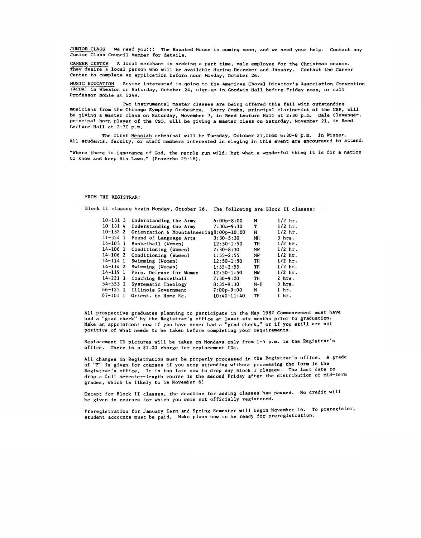JUNIOR CLASS We need you!!! The Haunted House is coming soon, and we need your help. Contact any Junior Class Council Member for details.

CAREER CENTER A local merchant is seeking a part-time, male employee for the Christmas season. They desire a local person who will be available during December and January. Contact the Career Center to complete an application before noon Monday, October 26.

MUSIC EDUCATION Anyone interested in going to the American Choral Director's Association Convention (ACDA) in Wheaton on Saturday, October 24, sign-up in Goodwin Hall before Friday noon, or call Professor Noble at 5298.

Two instrumental master classes are being offered this fall with outstanding musicians from the Chicago Symphony Orchestra. Larry Combs, principal clarinetist of the CSP, will be giving a master class on Saturday, November 7, in Reed Lecture Hall at 2:30 p.m. Dale Clevenger, principal horn player of the CSO, will be giving a master class on Saturday, November 21, in Reed Lecture Hall at 2:30 p.m.

The first Messiah rehearsal will be Tuesday, October 27,from 6:30-8 p.m. in Wisner. All students, faculty, or staff members interested in singing in this event are encouraged to attend.

"Where there is ignorance of God, the people run wild; but what a wonderful thing it is for a nation to know and keep His Laws," (Proverbs 29:18).

### **FROM THE REGISTRAR:**

**II classes begin Monday, October 26. The following are Block II classes**

| $10 - 131$ 3 | Understanding the Army                  | $6:00p-8:00$    | M     | $1/2$ hr.        |
|--------------|-----------------------------------------|-----------------|-------|------------------|
|              |                                         |                 |       |                  |
| $10 - 1314$  | Understanding the Army                  | $7:30a-9:30$    | т     | $1/2$ hr.        |
| $10 - 132$ 2 | Orientation & Mountaineering8:00p-10:00 |                 | М     | $1/2$ hr.        |
| 11-354 1     | Found of Language Arts                  | $3:30 - 5:30$   | МH    | $3$ hrs.         |
| $14 - 103$ 1 | Basketball (Women)                      | $12:50 - 1:50$  | TH    | $1/2$ hr.        |
| 14-106 1     | Conditioning (Women)                    | $7:30 - 8:30$   | MW    | $1/2$ hr.        |
| 14-106 2     | Conditioning (Women)                    | $1:55 - 2:55$   | MW    | $1/2$ hr.        |
| 14-114 1     | Swimming (Women)                        | $12:50 - 1:50$  | TH    | $1/2$ hr.        |
| 14-1142      | Swimming (Women)                        | $1:55 - 2:55$   | TH    | $1/2$ hr.        |
| 14-119 1     | Pers. Defense for Women                 | $12:50 - 1:50$  | MW    | $1/2$ hr.        |
| $14 - 221$ 1 | Coaching Basketball                     | $7:30-9:20$     | TH    | $2$ hrs.         |
| 54-353 1     | Systematic Theology                     | $8:35-9:30$     | $M-F$ | $3$ hrs.         |
| 66-125 1     | Illinois Government                     | $7:00p-9:00$    | м     | 1 <sub>hr.</sub> |
| 67-101 1     | Orient. to Home Ec.                     | $10:40 - 11:40$ | TH    | l hr.            |
|              |                                         |                 |       |                  |

**All prospective graduates planning to participate in the May 1982 Commencement must have had a "grad check" by the Registrar's office at least six months prior to graduation. Make an appointment now if you have never had a "grad check," or if you still are not positive of what needs to be taken before completing your requirements.**

**Replacement ID pictures will be taken on Mondays only from 1-5 p.m. in the Registrar s office. There is a \$1.00 charge for replacement IDs.**

**All changes in Registration must be properly processed in the Registrar's office. A grade of "F" is given for courses if you stop attending without processing the form in the Registrar's office. It is too late now to drop any Block I classes. The last date to drop a full semes ter-length course is the second Friday after the distribution of mid-term grades, which is likely to be November 6!**

**Except for Block II classes, the deadline for adding classes has passed. No credit will be given in courses for which you were not officially registered.**

**Preregistration for January Terra and Spring Semester will begin November 16. To preregister, student accounts must be paid. Make plans now to be ready for preregistration.**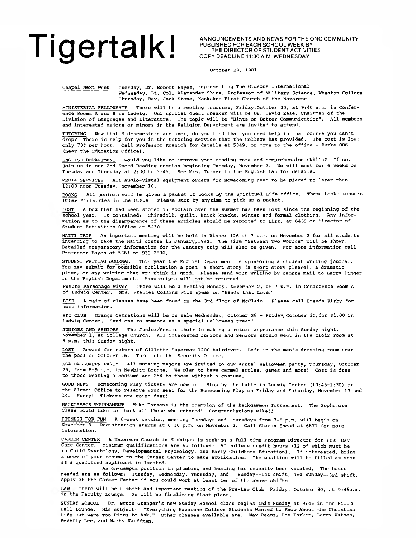ANNOUNCEMENTS AND NEWS FOR THE ONC COMMUNITY PUBLISHED FOR EACH SCHOOL WEEK BY THE DIRECTOR OF STUDENT ACTIVITIES COPY DEADLINE 11:30 A.M. WEDNESDAY

October 29, 1981

Chapel Next Week Tuesday, Dr. Robert Hayes, representing The Gideons International Wednesday, Lt. Col. Alexander Shine, Professor of Military Science, Wheaton College Thursday, Rev. Jack Stone, Kankakee First Church of the Nazarene

MINISTERIAL FELLOWSHIP There will be a meeting tomorrow, Friday,October 30, at 9:40 a.m. in Conference Rooms A and B in Ludwig. Our special guest speaker will be Dr. David Kale, Chairman of the Division of Languages and Literature. The topic will be "Hints on Better Communication". All members and interested majors or minors in the Religion Department are invited to attend.

TUTORING Now that Mid-semesters are over, do you find that you need help in that course you can't drop? There is help for you in the tutoring service that the College has provided. The cost is low: only 70¢ per hour. Call Professor Kranich for details at 5349, or come to the office - Burke 006 (near the Education Office).

ENGLISH DEPARTMENT Would you like to improve your reading rate and comprehension skills? If so, join us in our 2nd Speed Reading session beginning Tuesday, November 3. We will meet for 6 weeks on Tuesday and Thursday at 2:30 to 3:45. See Mrs. Turner in the English Lab for details.

MEDIA SERVICES All Audio-Visual eguipment orders for Homecoming need to be placed no later than 12:00 noon Tuesday, November 10.

BOOKS All seniors will be given a packet of books by the Spiritual Life office. These books concern Urban Ministries in the U.S.A. Please stop by anytime to pick up a packet.

A box that had been stored in McClain over the summer has been lost since the beginning of the school year. It contained: Chinadoll, quilt, knick knacks, winter and formal clothing. Any information as to the disapperance of these articles should be reported to Lizz, at 6439 or Director of Student Activities Office at 5230.

HAITI TRIP An important meeting will be held in Wisner 126 at 7 p.m. on November 2 for all students intending to take the Haiti course in January,1982. The film "Between Two Worlds" will be shown. Detailed preparatory information for the January trip will also be given. For more information call Professor Hayes at 5361 or 939-2836.

STUDENT WRITING JOURNAL This year the English Department is sponsoring a student writing journal. You may submit for possible publication a poem, a short story (a short story please), a dramatic piece, or any writing that you think is good. Please send your writing by campus mail to Larry Finger in the English Department. Manuscripts will not be returned.

Future Parsonage Wives There will be a meeting Monday, November 2, at 7 p.m. in Conference Room A of Ludwig Center. Mrs. Frances Collins will speak on "Hands that Love."

LOST A pair of glasses have been found on the 3rd floor of McClain. Please call Brenda Kirby for more information.

SKI CLUB Orange Carnations will be on sale Wednesday, October 28 - Friday, October 30, for \$1.00 in Ludwig Center. Send one to someone as a special Halloween treat!

JUNIORS AND SENIORS The Junior/Senior choir is making a return appearance this Sunday night, November 1, at College Church. All interested Juniors and Seniors should meet in the choir room at 5 p.m. this Sunday night.

LOST Reward for return of Gillette Supermax 1200 hairdryer. Left in the men's dressing room near the pool on October 16. Turn into the Security Office.

NSA HALLOWEEN PARTY All Nursing majors are invited to our annual Halloween party, Thursday, October 29, from 8-9 p.m. in Nesbitt Lounge. We plan to have carmel apples, games and more! Cost is free to those wearing a costume and 25¢ to those without a costume.

GOOD NEWS Homecoming Play tickets are now ini Stop by the table in Ludwig Center (10:45-1:30) or the Alumni Office to reserve your seat for the Homecoming Play on Friday and Saturday, November 13 and 14. Hurry! Tickets are going fast!

BACKGAMMON TOURNAMENT Mike Parsons is the champion of the Backgammon Tournament. The Sophomore Class would like to thank all those who entered! Congratulations Mike!!

FITNESS FOR FUN A 6-week session, meeting Tuesdays and Thursdays from 7-8 p.m. will begin on November 3. Registration starts at 6:30 p.m. on November 3. Call Sharon Snead at 6871 for more information.

CAREER CENTER A Nazarene Church in Michigan is seeking a full-time Program Director for its Day Care Center. Minimum qualifications are as follows: 60 college credit hours (12 of which must be in Child Psychology, Developmental Psychology, and Early Childhood Education). If interested, bring a copy of your resume to the Career Center to make application. The position will be filled as soon as a qualified applicant is located.

An on-campus position in plumbing and heating has recently been vacated. The hours needed are as follows: Tuesday, Wednesday, Thursday, and Sunday— 1st shift, and Sunday— 3rd shift. Apply at the Career Center if you could work at least two of the above shifts.

LAW There will be a short and important meeting of the Pre-Law Club Friday, October 30, at 9:45a.m. in the Faculty Lounge. We will be finalizing float plans.

SUNDAY SCHOOL Dr. Bruce Granger's new Sunday School class begins this Sunday at 9:45 in the Hills Hall Lounge. His subject: "Everything Nazarene College Students Wanted to Know About the Christian Life But Were Too Pious to Ask." Other classes available are: Max Reams, Don Parker, Larry Watson, Beverly Lee, and Marty Kauffman.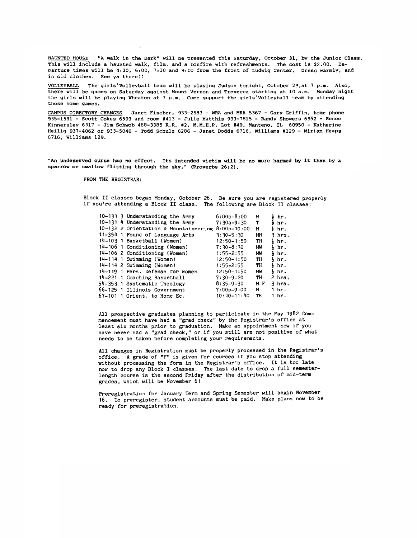**HAUNTED HOUSE "A Walk in the Dark" will be presented this Saturday, October 31, bv the Junior Class. This will include a haunted walk, film, and a bonfire with refreshments. The cost is \$2.00. De-Darture times will be 4:30, 6:00, 7:30 and 9:00 from the front of Ludwig Center. Dress warmly, and in old clothes. See ya there!!**

VOLLEYBALL The girls'Volleyball team will be playing Judson tonight, October 29, at 7 p.m. Also, **there will be games on Saturday against Mount Vernon and Trevecca starting at 10 a.m. Monday night the yirls will be playing Wheaton at 7 p.m. Come support the girls'Volleyball team by attending these home games.**

**CAMPUS DIRECTORY CHANGES Janet Fischer, 933-2583 - WRA and MRA 5367 - Gary Griffin, home phone 935-1591 - Scott Cokes 6593 and room #413 - Julie Matthis 933-7815 - Randy Showers 6952 - Renee Kinnersley 6317 - Jim Schwob 468-3385 R.R. #2, M.M.H.P. Lot #49, Manteno, IL 60950 - Katherine Heilig 937-4062 or 933-5046 - Todd Schulz 6286 - Janet Dodds 6716, Williams #129 - Miriam Heaps 6716, Williams 129.**

**"An undeserved curse has no effect. Its intended victim will be no more harmed by it than by a sparrow or swallow flitting through the sky," (Proverbs 26:2),**

**FROM THE REGISTRAR:**

**Block II classes began Monday, October 26. Be sure you are registered properly if you're attending a Block II class. The following are Block II classes:**

|  | 10-131 3 Understanding the Army       | $6:00p-8:00$    | M     | ł hr.    |          |
|--|---------------------------------------|-----------------|-------|----------|----------|
|  | 10-131 4 Understanding the Army       | $7:30a-9:30$    | т     | ∌ hr.    |          |
|  | 10-132 2 Orientation & Mountaineering | $8:00p-10:00$   | М     | } hr.    |          |
|  | 11-354 1 Found of Language Arts       | $3:30 - 5:30$   | МH    |          | $3$ hrs. |
|  | 14-103 1 Basketball (Women)           | $12:50 - 1:50$  | TH    | ł hr.    |          |
|  | 14-106 1 Conditioning (Women)         | $7:30 - 8:30$   | MW    | } hr.    |          |
|  | 14-106 2 Conditioning (Women)         | $1:55 - 2:55$   | MW    | d hr.    |          |
|  | 14-114 1 Swimming (Women)             | $12:50 - 1:50$  | TH    | } hr.    |          |
|  | 14-114 2 Swimming (Women)             | $1:55 - 2:55$   | TH    | } hr.    |          |
|  | 14-119 1 Pers. Defense for Women      | $12:50 - 1:50$  | МW    | } hr.    |          |
|  | 14-221 1 Coaching Basketball          | $7:30 - 9:20$   | TH    | $2$ hrs. |          |
|  | 54-353 1 Systematic Theology          | $8:35 - 9:30$   | $M-F$ | $3$ hrs. |          |
|  | 66-125 1 Illinois Government          | $7:00p-9:00$    | M.    | $1hr$ .  |          |
|  | 67-101 1 Orient. to Home Ec.          | $10:40 - 11:40$ | TH    | 1 hr.    |          |

**All prospective graduates planning to participate in the May 1982 Commencement must have had a "grad check" by the Registrar's office at least six months prior to graduation. Make an appointment now if you have never had a "grad check," or if you still are not positive of what needs to be taken before completing your requirements.**

**All changes in Registration must be properly processed in the Registrar's office. A grade of "F" is given for courses if you stop attending without processing the form in the Registrar's office. It is too late now to drop any Block I classes. The last date to drop a full semesterlength course is the second Friday after the distribution of mid-term grades, which will be November 6!**

**Preregistration for January Term and Spring Semester will begin November 16. To preregister, student accounts must be paid. Make plans now to be ready for preregistration.**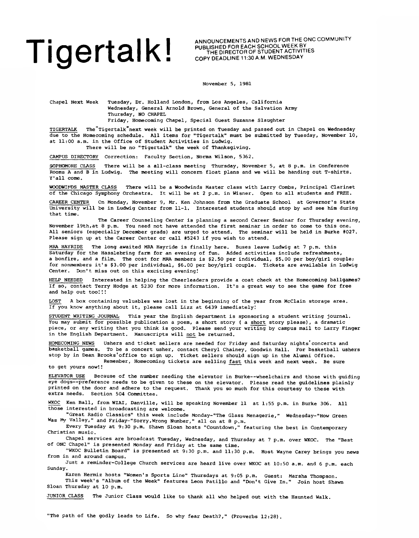# TIGETIAIK! ANNOUNCEMENTS AND NEWS FOR THE ONC COMMUNITY

PUBLISHED FOR EACH SCHOOL WEEK BY THE DIRECTOR OF STUDENT ACTIVITIES COPY DEADLINE 11:30 A.M. WEDNESDAY

November 5, 1981

Chapel Next Week Tuesday, Dr. Holland London, from Los Angeles, California Wednesday, General Arnold Brown, General of the Salvation Army Thursday, NO CHAPEL

Friday, Homecoming Chapel, Special Guest Suzanne Slaughter

TIGERTALK The"Tigertalk"next week will be printed on Tuesday and passed out in Chapel on Wednesday due to the Homecoming schedule. All items for "Tigertalk" must be submitted by Tuesday, November 10, at 11:00 a.m. in the Office of Student Activities in Ludwig. There will be no "Tigertalk" the week of Thanksgiving.

CAMPUS DIRECTORY Correction: Faculty Section, Norma Wilson, 5362.

SOPHOMORE CLASS There will be a all-class meeting Thursday, November 5, at 8 p.m. in Conference Rooms A and B in Ludwig. The meeting will concern float plans and we will be handing out T-shirts. Y'all come.

WOODWINDS MASTER CLASS There will be a Woodwinds Master class with Larry Combs, Principal Clarinet of the Chicago Symphony Orchestra. It will be at 2 p.m. in Wisner. Open to all students and FREE.

CAREER CENTER On Monday, November 9, Mr. Ken Johnson from the Graduate School at Governor's State University will be in Ludwig Center from 11-1. Interested students should stop by and see him during that time.

The Career Counseling Center is planning a second Career Seminar for Thursday evening, November 19th,at 8 p.m. You need not have attended the first seminar in order to come to this one. All seniors (especially December grads) are urged to attend. The seminar will be held in Burke #027. Please sign up at the Career Center or call #5243 if you wish to attend.

MRA HAYRIDE The long awaited MRA Hayride is finally here. Buses leave Ludwig at 7 p.m. this Saturday for the Hasslebring farm for an evening of fun. Added activities include refreshments, a bonfire, and a film. The cost for MRA members is \$2.50 per individual, \$5.00 per boy/girl couple; for nonmembers it's \$3.00 per individual, \$6.00 per boy/girl couple. Tickets are available in Ludwig Center. Don't miss out on this exciting evening!

HELP NEEDED Interested in helping the Cheerleaders provide a coat check at the Homecoming ballgames? If so, contact Terry Hodge at 5230 for more information. It's a great way to see the game for free and help out too!!!

LOST A box containing valuables was lost in the beginning of the year from McClain storage area. If you know anything about it, please call Lizz at 6439 immediately!

STUDENT WRITING JOURNAL This year the English department is sponsoring a student writing journal. You may submit for possible publication a poem, a short story (a short story please), a dramatic piece, or any writing that you think is good. Please send your writing by campus mail to Larry Finger in the English Department. Manuscripts will not be returned.

HOMECOMING NEWS Ushers and ticket sellers are needed for Friday and Saturday nights'concerts and basketball games. To be a concert usher, contact Cheryl Chainey, Goodwin Hall. For basketball ushers stop by in Dean Brooks'office to sign up. Ticket sellers should sign up in the Alumni Office.

Remember, Homecoming tickets are selling fast this week and next week. Be sure to get yours now!!

ELEVATOR USE Because of the number needing the elevator in Burke— wheelchairs and those with guiding eye dogs— preference needs to be given to these on the elevator. Please read the guidelines plainly printed on the door and adhere to the request. Thank you so much for this courtesy to these with extra needs. Section 504 Committee.

WKOC Ken Ball, from WIAI, Danville, will be speaking November 11 at 1:55 p.m. in Burke 306. All those interested in broadcasting are welcome.

"Great Radio Classics" this week include Monday-"The Glass Menagerie," Wednesday-"How Green Was My Valley," and Friday-"Sorry,Wrong Number," all on at 8 p.m.

Every Tuesday at 9:30 p.m. Shawn Sloan hosts "Countdown," featuring the best in Contemporary Christian music.

Chapel services are broadcast Tuesday, Wednesday, and Thursday at 7 p.m. over WKOC. The "Best of ONC Chapel" is presented Monday and Friday at the same time.

WKOC Bulletin Board" is presented at 9:30 p.m. and 11:30 p.m. Host Wayne Carey brings you news from in and around campus.

Just a reminder-College Church services are heard live over WKOC at 10:50 a.m. and 6 p.m. each Sunday.

Karen Hermiz hosts "Women's Sports Line" Thursdays at 9:05 p.m. Guest: Marsha Thompson.

This week's "Album of the Week" features Leon Patillo and "Don't Give In." Join host Shawn Sloan Thursday at 10 p.m.

JUNIOR CLASS The Junior Class would like to thank all who helped out with the Haunted Walk.

"The path of the godly leads to Life. So why fear Death?," (Proverbs 12:28).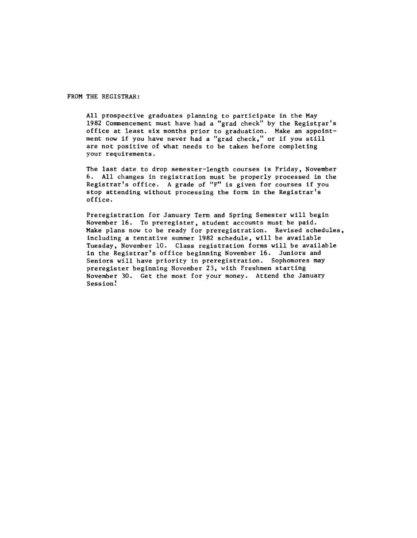### FROM THE REGISTRAR:

All prospective graduates planning to participate in the May 1982 Commencement must have had a "grad check" by the Registrar's office at least six months prior to graduation. Make an appointment now if you have never had a "grad check," or if you still are not positive of what needs to be taken before completing your requirements.

The last date to drop semester-length courses is Friday, November 6. All changes in registration must be properly processed in the Registrar's office. A grade of "F" is given for courses if you stop attending without processing the form in the Registrar's office.

Preregistration for January Term and Spring Semester will begin November 16. To preregister, student accounts must be paid. Make plans now to be ready for preregistration. Revised schedules, including a tentative summer 1982 schedule, will be available Tuesday, November 10. Class registration forms will be available in the Registrar's office beginning November 16. Juniors and Seniors will have priority in preregistration. Sophomores may preregister beginning November 23, with Freshmen starting November 30. Get the most for your money. Attend the January Session.'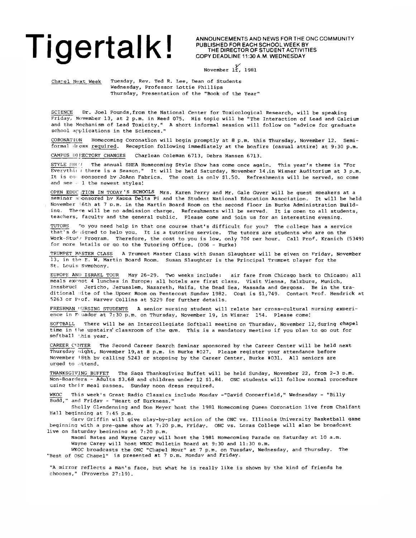## Tige busined for EACH SCHOOL WEEK BY THE ONC COMMUNITY

PUBLISHED FOR EACH SCHOOL WEEK BY THE DIRECTOR OF STUDENT ACTIVITIES COPY DEADLINE 11:30 A.M. WEDNESDAY

*V* November IT, 1981

Chapel Next Week Tuesday, Rev. Ted R. Lee, Dean of Students Wednesday, Professor Lottie Phillips Thursday, Presentation of the "Book of the Year"

SCIENCE Dr. Joel Pounds,from the National Center for Toxicological Research, will be speaking Friday, November 13, at 2 p.m. in Reed 075. His topic will be "The Interaction of Lead and Calcium and the Mechanism of Lead Toxicity." A short informal session will follow on "advice for graduate school applications in the Sciences."

CORONATION Homecoming Coronation will begin promptly at 8 p.m. this Thursday, November 12. Semiformal «liess required. Reception following immediately at the bonfire (casual attire) at 9:30 p.m.

CAMPUS DIRECTORY CHANGES Charlean Coleman 6713, Debra Hansen 6713.

STYLE SHOT! The annual SHEA Homecoming Style Show has come once again. This year's theme is "For Everythii r there is a Season." It will be held Saturday, November 14 ,in Wisner Auditorium at 3 p.m. It is co- ponsored by JoAnn Fabrics. The cost is only \$1.50. Refreshments will be served, so come and see  $-1$  the newest styles!

OPEN EDUC TION IN TODAY'S SCHOOLS Mrs. Karen Perry and Mr. Gale Guyer will be quest speakers at a seminar sponsored by Kappa Delta Pi and the Student National Education Association. It will be held November 1.6th at 7 p.m. in the Martin Board Room on the second floor in Burke Administration Building. There will be no admission charge. Refreshments will be served. It is open to all students, teachers, faculty and the general public. Please come and join us for an interesting evening.

TUTORS ^o you need help in that one course that's difficult for you? The college has a service that's designed to help you. It is a tutoring service. The tutors are students who are on the Work-Stud'/ Program. Therefore, the cost to you is low, only 70¢ per hour. Call Prof. Kranich (5349) for more letails or go to the Tutoring Office. (006 - Burke)

TRUMPET MASTER CLASS A Trumpet Master Class with Susan Slaughter will be given on Friday, November 13, in the E. W. Martin Board Room. Susan Slaughter is the Principal Trumpet player for the St. Louis Svmphony.

EUROPE AND ISRAEL TOUR May 26-29. Two weeks include: air fare from Chicago back to Chicago; all meals except 4 lunches in Europe; all hotels are first class. Visit Vienna, Salzbura, Munich, Innsbrucl. Jericho, Jerusalem, Nazareth, Haifa, the Dead Sea, Massada and Gergosa. Be in the traditional site of the Upper Room on Pentecost Sunday 1982. Cost is \$1,749. Contact Prof. Hendrick at 5263 or Piof. Harvev Collins at 5229 for further details.

FRESHMAN ''URSING STUDENTS A senior nursing student will relate her cross-cultural nursing experience in F< uador at 7:30 p.m. on Thursday, November 19, in Wisner 154. Please come!

SOFTBALL There will be an Intercollegiate Softball meetinq on Thursday, November 12,during chapel time in 1 he upstairs' classroom of the qym. This is a mandatory meetina if you plan to go out for softball '.his year.

CAREER CHINTER The Second Career Search Seminar sponsored by the Career Center will be held next Thursday night, November 19,at 8 p.m. in Burke #027. Please register your attendance before November 18th bv calling 5243 or stopoing by the Career Center, Burke #031. All seniors are urged to attend.

THANKSGIVING BUFFET The Saga Thanksgiving Buffet will be held Sunday, November 22, from 2-3 p.m. Non-Boarders - Adults \$3.68 and children under 12 \$1.84. ONC students will follow normal procedure using thcir meal passes. Sunday noon dress required.

WKOC This week's Great Radio Classics include Monday -"David Copperfield," Wednesday - "Billy Budd," and Friday - "Heart of Darkness."

Shelly Glendenning and Don Meyer host the 1981 Homecoming Queen Coronation live from Chalfant Hall beginning at 7:45 p.m.

Garv Griffin will give play-by-play action of the ONC vs. Illinois University Basketball game beginning with a pre-game show at 7:20 p.m. Friday. ONC vs. Loras College will also be broadcast live on Saturday beainnina at 7:20 p.m.

Naomi Bates and Wayne Carey will host the 1981 Homecoming Parade on Saturday at 10 a.m. Wayne Carey will host WKOC Bulletin Board at 9:30 and 11:30 D.m.

WKOC broadcasts the ONC "Chapel Hour" at 7 p.m. on Tuesday, Wednesday, and Thursday. The "Best of ONC Chapel" is presented at 7 p.m. Mondav and Friday.

"A mirror reflects a man's face, but what he is really like is shown by the kind of friends he chooses," (Proverbs 27:19).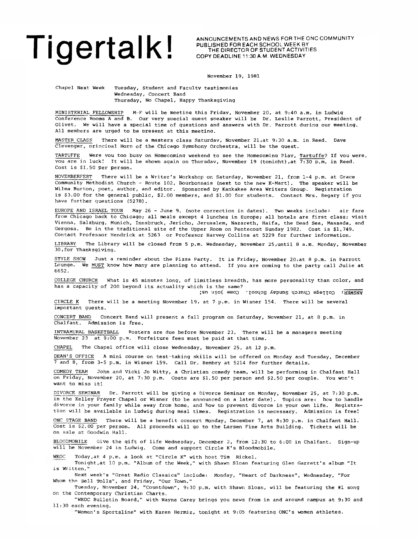# TIGERTALK! ANNOUNCEMENTS AND NEWS FOR THE ONC COMMUNITY

PUBLISHED FOR EACH SCHOOL WEEK BY THE DIRECTOR OF STUDENT ACTIVITIES COPY DEADLINE 11:30 A.M. WEDNESDAY

November 19, 1981

Chapel Next Week Tuesday, Student and Faculty testimonies Wednesday, Concert Band Thursday, No Chapel, Happy Thanksgiving

MINISTERIAL FELLOWSHIP M-F will be meetinq this Friday, November 20, at 9:40 a.m. in Ludwig Conference Rooms A and B. Our very special quest speaker will be Dr. Leslie Parrott, President of Olivet. We will have a special time of questions and answers with Dr. Parrott durinq our meeting. All members are urged to be present at this meetinq.

MASTER CLASS There will be a masters class Saturdav, November 21,at 9:30 a.m. in Reed. Dave Clevenger, principal Horn of the Chicago Symphony Orchestra, will be the quest.

TARTUFFE Were vou too busy on Homecominq weekend to see the Homecominq Play, Tartuffe? If you were, you are in luck! It will be shown again on Thursday, November 19 (tonight), at  $\overline{7:30 \text{ p.m.}}$  in Reed. Cost is \$1.50 per person.

NOVEMBERFEST There will be a Writer's Workshop on Saturday, November 21, from 1-4 p.m. at Grace Community Methodist Church - Route 102, Bourbonnais (next to the new K-Mart). The speaker will be Wilma Burton, poet, author, and editor. Sponsored by Kankakee Area Writers Group. Registration is \$3.00 for the general public, \$2.00 members, and \$1.00 for students. Contact Mrs. Segary if you have further questions (5278).

EUROPE AND ISRAEL TOUR May 26 - June 9. (note correction in dates). Two weeks include: air fare from Chicago back to Chicago; all meals except 4 lunches in Europe; all hotels are first class; visit Vienna, Salzburg, Munich, Innsbruck, Jericho, Jerusalem, Nazareth, Haifa, the Dead Sea, Massada, and Gergosa. Be in the traditional site of the Upper Room on Pentecost Sunday 1982. Cost is \$1,749. Contact Professor Hendrick at 5263 or Professor Harvey Collins at 5229 for further information.

LIBRARY The Library will be closed from 5 p.m. Wednesday, November 25,until 8 a.m. Monday, November 30,for Thanksgiving.

STYLE SHOW Just a reminder about the Pizza Party. It is Friday, November 20, at 8 p.m. in Parrott Lounge. We MUST know how many are planning to attend. If you are coming to the party call Julie at 6652.

COLLEGE CHURCH What is 45 minutes long, of limitless breadth, has more personality than color, and has a capacity of 200 beyond its actuality which is the same?

yaman : correde cuntey appuns found to the standary tended to the standard tended in the standard standard sta

CIRCLE K There will be a meeting November 19, at 7 p.m. in Wisner 154. There will be several important quests.

CONCERT BAND Concert Band will present a fall program on Saturday, November 21, at 8 p.m. in<br>Chalfant, Admission is free.  $\overline{\phantom{a}}$ Admission is free.

INTRAMURAL BASKETBALL Rosters are due before November 23. There will be a managers meeting November 23 at 9:00 p.m. Forfeiture fees must be paid at that time.

CHAPEL The Chapel office will close Wednesday, November 25, at 12 p.m.

DEAN'S OFFICE A mini course on test-taking skills will be offered on Monday and Tuesday, December 7 and 8, from 3-5 p.m. in Wisner 159. Call Dr. Bembry at 5214 for further details.

COMEDY TEAM John and Vicki Jo Witty, a Christian comedy team, will be performing in Chalfant Hall on Friday, November 20, at 7:30 p.m. Costs are \$1.50 per person and \$2.50 per couple. You won't want to miss it!

DIVORCE SEMINAR Dr. Parrott will be giving a Divorce Seminar on Monday, November 25, at 7:30 p.m. in the Kelley Prayer Chapel or Wisner (to be announced on a later date). Topics are: how to handle divorce in your family while away from home, and how to prevent divorce in your own life. Registration will be available in Ludwig during meal times. Registration is necessary. Admission is free!

ONC STAGE BAND There will be a benefit concert Monday, December 7, at 8:30 p.m. in Chalfant Hall. Cost is \$2.00 per person. All proceeds will go to the Larsen Fine Arts Building. Tickets will be on sale at Goodwin Hall.

BLOODMOBILE Give the gift of life Wednesday, December 2, from 12:30 to 6:00 in Chalfant. Sign-up will be November 24 in Ludwig. Come and support Circle K's Bloodmobile.

WKOC Today,at 4 p.m. a look at "Circle K" with host Tim Rickel.

Tonight,at 10 p.m. "Album of the Week," with Shawn Sloan featuring Glen Garrett's album "It is Written."

Next week's "Great Radio Classics" include: Monday, "Heart of Darkness", Wednesday, "For Whom the Bell Tolls", and Friday, "Our Town."

Tuesday, November 24, "Countdown", 9:30 p.m. with Shawn Sloan, will be featuring the #1 song on the Contemporary Christian Charts.

"WKOC Bulletin Board," with Wayne Carey brings you news from in and around campus at 9:30 and 11:30 each evening.

"Women's Sportsline" with Karen Hermiz, tonight at 9:05 featuring ONC's women athletes.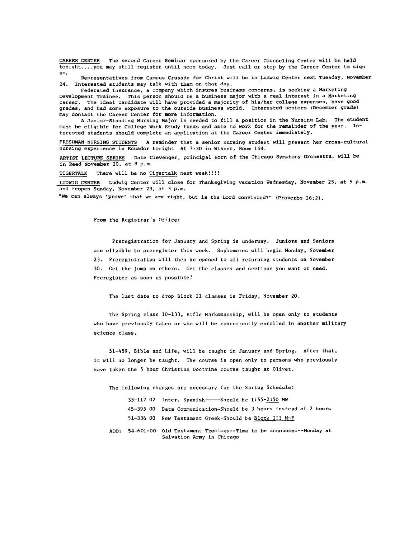CAREER CENTER The second Career Seminar sponsored by the Career Counseling Center will be held tonight.... you may still register until noon today. Just call or stop by the Career Center to sign up.

Representatives from Campus Crusade for Christ will be in Ludwig Center next Tuesday, November 24. Interested students may talk with them on that day.

Federated Insurance, a company which insures business concerns, is seeking a Marketing Development Trainee. This person should be a business major with a real interest in a Marketing career. The ideal candidate will have provided a majority of his/her college expenses, have good grades, and had some exposure to the outside business world. Interested seniors (December grads) may contact the Career Center for more information.

A Junior-Standing Nursing Major is needed to fill a position in the Nursing Lab. The student must be eligible for College Work Study funds and able to' work for the remainder of the year. Interested students should complete an application at the Career Center immediately.

FRESHMAN NURSING STUDENTS A reminder that a senior nursing student will present her cross-cultural nursing experience in Ecuador tonight at 7:30 in Wisner, Room 154.

ARTIST LECTURE SERIES Dale Clevenger, principal Horn of the Chicago Symphony Orchestra, will be in Reed November 20, at 8 p.m.

TIGERTALK There will be no Tigertalk next week:!!!

LUDWIG CENTER Ludwig Center will close for Thanksgiving vacation Wednesday, November 25, at 5 p.m. and reopen Sunday, November 29, at 3 p.m.

"We can always 'prove' that we are right, but is the Lord convinced?" (Proverbs 16:2).

From the Registrar's Office:

Preregistration for January and Spring is underway. Juniors and Seniors are eligible to preregister this week. Sophomores will begin Monday, November 23. Preregistration will then be opened to all returning students on November 30. Get the jump on others. Get the classes and sections you want or need. Preregister as soon as possible.'

The last date to drop Block II classes is Friday, November 20.

The Spring class 10-133, Rifle Marksmanship, will be open only to students who have previously taken or who will be concurrently enrolled in another military science class.

51-459, Bible and Life, will be taught in January and Spring. After that, it will no longer be taught. The course is open only to persons who previously have taken the 5 hour Christian Doctrine course taught at Olivet.

The following changes are necessary for the Spring Schedule:

| $33-112$ 02 Inter. Spanish-----Should be 1:55-2:50 MW             |
|-------------------------------------------------------------------|
| 45-395 00 Data Communication-Should be 3 hours instead of 2 hours |
| 51-336 00 New Testament Greek-Should be Block III M-F             |

ADD: 54-601-00 Old Testament Theology— Time to be announced— Monday at Salvation Army in Chicago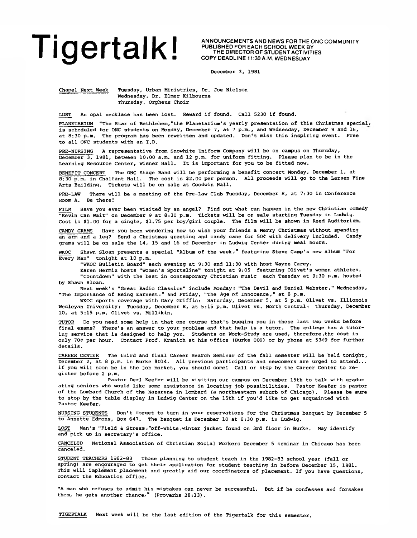**ANNOUNCEMENTS AND NEWS FOR THE ONC COMMUNITY PUBLISHED FOR EACH SCHOOL WEEK BY THE DIRECTOR OF STUDENT ACTIVITIES COPY DEADLINE 11:30 A.M. WEDNESDAY**

December 3, 1981

Chapel Next Week Tuesday, Urban Ministries, Dr. Joe Nielson Wednesday, Dr. Elmer Kilbourne Thursday, Orpheus Choir

LOST An opal necklace has been lost. Reward if found. Call 5230 if found.

PLANETARIUM "The Star of Bethlehem,"the Planetarium's yearly presentation of this Christmas special, is scheduled for ONC students on Monday, December 7, at 7 p.m., and Wednesday, December 9 and 16, at 8:30 p.m. The program has been rewritten and updated. Don't miss this inspiring event. Free to all ONC students with an I.D.

PRE-NURSING A representative from Snowhite Uniform Company will be on campus on Thursday, December 3, 1981, between 10:00 a.m. and 12 p.m. for uniform fitting. Please plan to be in the Learning Resource Center, Wisner Hall. It is important for you to be fitted now.

BENEFIT CONCERT The ONC Stage Band will be performing a benefit concert Monday, December 1, at 8:30 p.m. in Chalfant Hall. The cost is \$2.00 per person. All proceeds will go to the Larsen Fine Arts Building. Tickets will be on sale at Goodwin Hall.

PRE-LAW There will be a meeting of the Pre-Law Club Tuesday, December 8, at 7:30 in Conference Room A. Be there!

FILM Have you ever been visited by an angel? Find out what can happen in the new Christian comedy "Kevin Can Wait" on December 9 at 8:30 p.m. Tickets will be on sale starting Tuesday in Ludwig. Cost is SI.00 for a single, \$1.75 per boy/girl couple. The film will be shown in Reed Auditorium.

CANDY GRAMS Have you been wondering how to wish your friends a Merry Christmas without spending an arm and a leg? Send a Christmas greeting and candy cane for 50¢ with delivery included. Candy grams will be on sale the 14, 15 and 16 of December in Ludwig Center during meal hours.

WKOC Shawn Sloan presents a special "Album of the week," featuring Steve Camp's new album "For Every Man" tonight at 10 p.m.

"WKOC Bulletin Board" each evening at 9:30 and 11:30 with host Wayne Carey.

Karen Hermiz hosts "Women's Sportsline" tonight at 9:05 featuring Olivet's women athletes. "Countdown" with the best in contemporary Christian music each Tuesday at 9:30 p.m. hosted by Shawn Sloan.

Next week's "Great Radio Classics" include Monday: "The Devil and Daniel Webster," Wednesday, "The Importance of Being Earnest." and Friday, "The Age of Innocence," at 8 p.m.

WKOC sports coverage with Gary Griffin: Saturday, December 5, at 5 p.m. Olivet vs. Illionois Wesleyan University; Tuesday, December 8, at 5:15 p.m. Olivet vs. North Central; Thursday, December 10, at 5:15 p.m. Olivet vs. Millikin.

TUTOR Do you need some help in that one course that's bugging you in these last two weeks before final exams? There's an answer to your problem and that help is a tutor. The onllege has a tutoring service that is designed to help you. Students on Work-Study are used, therefore,the cost is only 70C per hour. Contact Prof. Kranich at his office (Burke 006) or by phone at 5349 for further details.

CAREER CENTER The third and final Career Search Seminar of the fall semester will be held tonight, December 2, at 8 p.m. in Burke #014. All previous participants and newcomers are urged to attend... if you will soon be in the job market, you should come'. Call or stop by the Career Center to register before 2 p.m.

Pastor Deri Keefer will be visiting our campus on December 15th to talk with graduating seniors who would like some assistance in locating job possibilities. Pastor Keefer is pastor of the Lombard Church of the Nazarene in Lombard (a northwestern suburb of Chicago). Please be sure to stop by the table display in Ludwig Center on the 15th if you'd like to get acquainted with Pastor Keefer.

NURSING STUDENTS Don't forget to turn in your reservations for the Christmas banquet by December 5 to Annette Edmons, Box 647. The banquet is December 10 at 6:30 p.m. in Ludwig.

LOST Man's "Field & Stream, "off-white, winter jacket found on 3rd floor in Burke. May identify and pick up in secretary's office.

CANCELED National Association of Christian Social Workers December 5 seminar in Chicago has been canceled.

STUDENT TEACHERS 1982-83 Those planning to student teach in the 1982-83 school year (fall or spring) are encouraged to get their application for student teaching in before December 15, 1981. This will implement placement and greatly aid our coordinators of placement. If you have questions, contact the Education office.

"A man who refuses to admit his mistakes can never be successful. But if he confesses and forsakes them, he gets another chance," (Proverbs 28:13).

TIGERTALK Next week will be the last edition of the Tigertalk for this semester.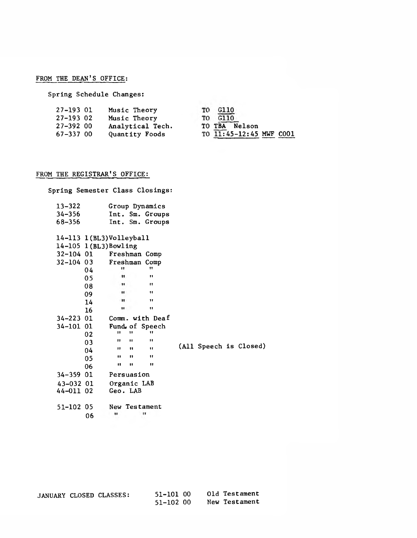### FROM THE DEAN'S OFFICE:

**Spring Schedule Changes:**

| 27-193 01    | Music Theory        | TO G110                 |  |
|--------------|---------------------|-------------------------|--|
| $27 - 19302$ | <b>Music Theory</b> | TO G110                 |  |
| 27-392 00    | Analytical Tech.    | TO TBA Nelson           |  |
| $67 - 33700$ | Quantity Foods      | TO 11:45-12:45 MWF COO1 |  |

### **FROM THE REGISTRAR'S OFFICE:**

| Spring Semester Class Closings: |    |               |              |                 |  |                        |  |
|---------------------------------|----|---------------|--------------|-----------------|--|------------------------|--|
| $13 - 322$                      |    |               |              | Group Dynamics  |  |                        |  |
| $34 - 356$                      |    |               |              | Int. Sm. Groups |  |                        |  |
| 68-356                          |    |               |              | Int. Sm. Groups |  |                        |  |
| $14-113$ $1(BL3)$ Volleyball    |    |               |              |                 |  |                        |  |
| $14-105$ $1(BL3)$ Bowling       |    |               |              |                 |  |                        |  |
| 32-104 01                       |    | Freshman Comp |              |                 |  |                        |  |
| 32-104 03                       |    | Freshman Comp |              |                 |  |                        |  |
|                                 | 04 | п             |              | 11              |  |                        |  |
|                                 | 05 | 11            |              | $\mathbf{H}$    |  |                        |  |
|                                 | 08 | 11            |              | $\mathbf{H}$    |  |                        |  |
|                                 | 09 | $\cdots$      |              | $\mathbf{H}$    |  |                        |  |
|                                 | 14 | Ħ             |              | $\mathbf{H}$    |  |                        |  |
|                                 | 16 | $\mathbf{u}$  |              | 11              |  |                        |  |
| 34-223 01                       |    |               |              | Comm. with Deaf |  |                        |  |
| 34-101 01                       |    |               |              | Fund of Speech  |  |                        |  |
|                                 | 02 | $\mathbf{H}$  | $\mathbf{u}$ | 11              |  |                        |  |
|                                 | 03 | 11            | 11           | $\blacksquare$  |  |                        |  |
|                                 | 04 | Ħ             | $\mathbf{H}$ | $\mathbf{H}$    |  | (All Speech is Closed) |  |
|                                 | 05 | 11            | $^{\bullet}$ | $\bullet$       |  |                        |  |
|                                 | 06 | Ħ             | 11           | 11              |  |                        |  |
| 34-359 01                       |    | Persuasion    |              |                 |  |                        |  |
| 43-032 01                       |    | Organic LAB   |              |                 |  |                        |  |
| 44-011 02                       |    | Geo. LAB      |              |                 |  |                        |  |
| 51-102 05                       |    |               |              | New Testament   |  |                        |  |
|                                 |    | $\cdots$      |              | $\mathbf{H}$    |  |                        |  |
|                                 | 06 |               |              |                 |  |                        |  |